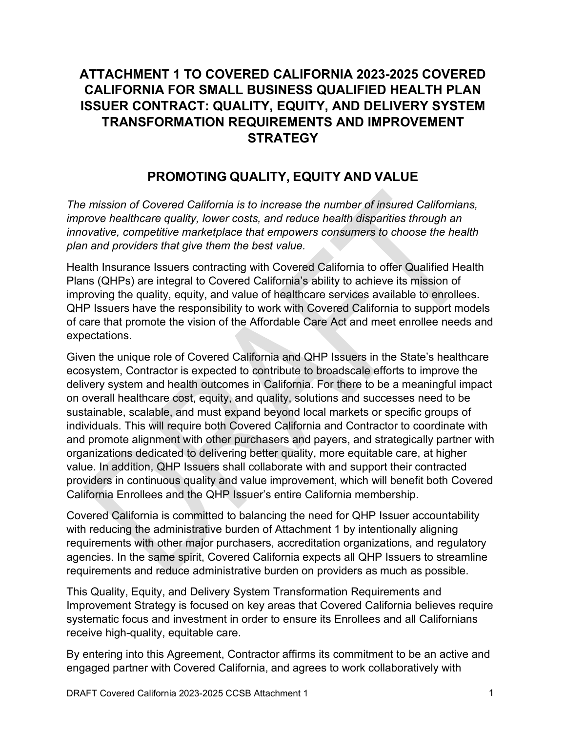# **ATTACHMENT 1 TO COVERED CALIFORNIA 2023-2025 COVERED CALIFORNIA FOR SMALL BUSINESS QUALIFIED HEALTH PLAN ISSUER CONTRACT: QUALITY, EQUITY, AND DELIVERY SYSTEM TRANSFORMATION REQUIREMENTS AND IMPROVEMENT STRATEGY**

# **PROMOTING QUALITY, EQUITY AND VALUE**

*The mission of Covered California is to increase the number of insured Californians, improve healthcare quality, lower costs, and reduce health disparities through an innovative, competitive marketplace that empowers consumers to choose the health plan and providers that give them the best value.*

Health Insurance Issuers contracting with Covered California to offer Qualified Health Plans (QHPs) are integral to Covered California's ability to achieve its mission of improving the quality, equity, and value of healthcare services available to enrollees. QHP Issuers have the responsibility to work with Covered California to support models of care that promote the vision of the Affordable Care Act and meet enrollee needs and expectations.

Given the unique role of Covered California and QHP Issuers in the State's healthcare ecosystem, Contractor is expected to contribute to broadscale efforts to improve the delivery system and health outcomes in California. For there to be a meaningful impact on overall healthcare cost, equity, and quality, solutions and successes need to be sustainable, scalable, and must expand beyond local markets or specific groups of individuals. This will require both Covered California and Contractor to coordinate with and promote alignment with other purchasers and payers, and strategically partner with organizations dedicated to delivering better quality, more equitable care, at higher value. In addition, QHP Issuers shall collaborate with and support their contracted providers in continuous quality and value improvement, which will benefit both Covered California Enrollees and the QHP Issuer's entire California membership.

Covered California is committed to balancing the need for QHP Issuer accountability with reducing the administrative burden of Attachment 1 by intentionally aligning requirements with other major purchasers, accreditation organizations, and regulatory agencies. In the same spirit, Covered California expects all QHP Issuers to streamline requirements and reduce administrative burden on providers as much as possible.

This Quality, Equity, and Delivery System Transformation Requirements and Improvement Strategy is focused on key areas that Covered California believes require systematic focus and investment in order to ensure its Enrollees and all Californians receive high-quality, equitable care.

By entering into this Agreement, Contractor affirms its commitment to be an active and engaged partner with Covered California, and agrees to work collaboratively with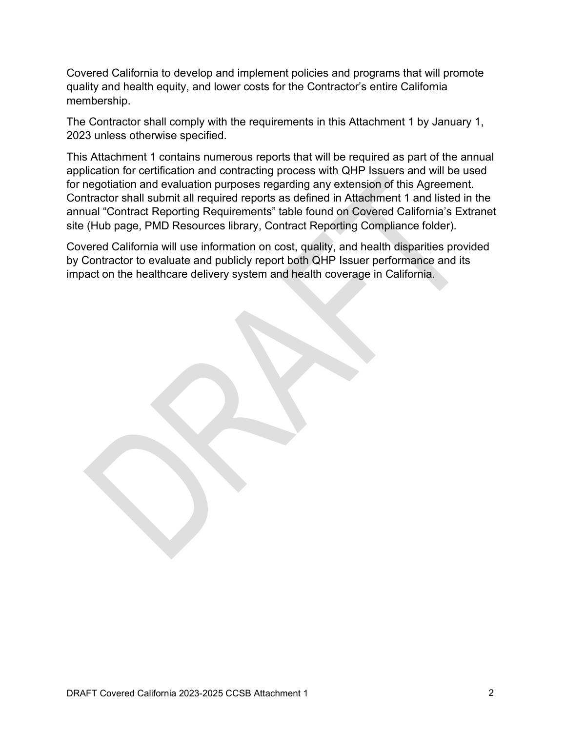Covered California to develop and implement policies and programs that will promote quality and health equity, and lower costs for the Contractor's entire California membership.

The Contractor shall comply with the requirements in this Attachment 1 by January 1, 2023 unless otherwise specified.

This Attachment 1 contains numerous reports that will be required as part of the annual application for certification and contracting process with QHP Issuers and will be used for negotiation and evaluation purposes regarding any extension of this Agreement. Contractor shall submit all required reports as defined in Attachment 1 and listed in the annual "Contract Reporting Requirements" table found on Covered California's Extranet site (Hub page, PMD Resources library, Contract Reporting Compliance folder).

Covered California will use information on cost, quality, and health disparities provided by Contractor to evaluate and publicly report both QHP Issuer performance and its impact on the healthcare delivery system and health coverage in California.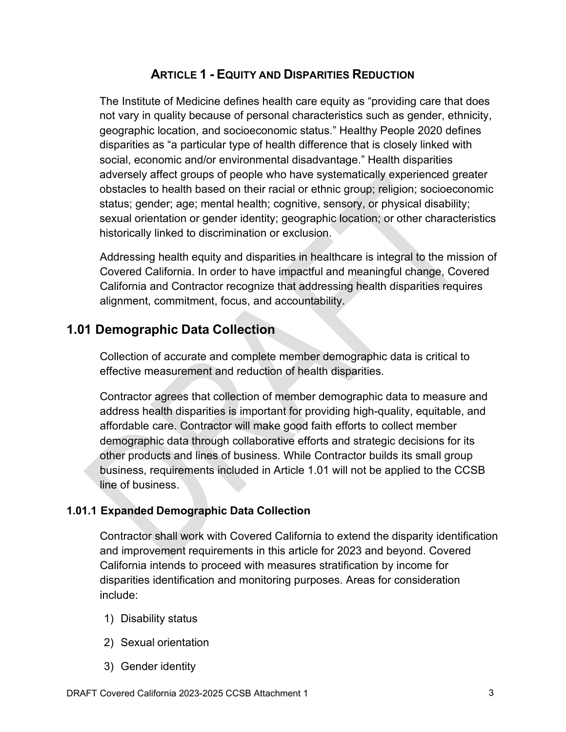# **ARTICLE 1 - EQUITY AND DISPARITIES REDUCTION**

The Institute of Medicine defines health care equity as "providing care that does not vary in quality because of personal characteristics such as gender, ethnicity, geographic location, and socioeconomic status." Healthy People 2020 defines disparities as "a particular type of health difference that is closely linked with social, economic and/or environmental disadvantage." Health disparities adversely affect groups of people who have systematically experienced greater obstacles to health based on their racial or ethnic group; religion; socioeconomic status; gender; age; mental health; cognitive, sensory, or physical disability; sexual orientation or gender identity; geographic location; or other characteristics historically linked to discrimination or exclusion.

Addressing health equity and disparities in healthcare is integral to the mission of Covered California. In order to have impactful and meaningful change, Covered California and Contractor recognize that addressing health disparities requires alignment, commitment, focus, and accountability.

# **1.01 Demographic Data Collection**

Collection of accurate and complete member demographic data is critical to effective measurement and reduction of health disparities.

Contractor agrees that collection of member demographic data to measure and address health disparities is important for providing high-quality, equitable, and affordable care. Contractor will make good faith efforts to collect member demographic data through collaborative efforts and strategic decisions for its other products and lines of business. While Contractor builds its small group business, requirements included in Article 1.01 will not be applied to the CCSB line of business.

## **1.01.1 Expanded Demographic Data Collection**

Contractor shall work with Covered California to extend the disparity identification and improvement requirements in this article for 2023 and beyond. Covered California intends to proceed with measures stratification by income for disparities identification and monitoring purposes. Areas for consideration include:

- 1) Disability status
- 2) Sexual orientation
- 3) Gender identity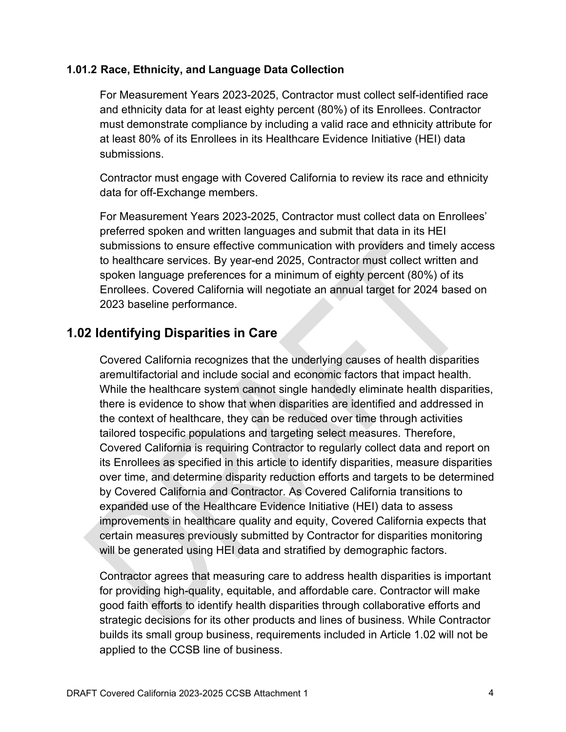#### **1.01.2 Race, Ethnicity, and Language Data Collection**

For Measurement Years 2023-2025, Contractor must collect self-identified race and ethnicity data for at least eighty percent (80%) of its Enrollees. Contractor must demonstrate compliance by including a valid race and ethnicity attribute for at least 80% of its Enrollees in its Healthcare Evidence Initiative (HEI) data submissions.

Contractor must engage with Covered California to review its race and ethnicity data for off-Exchange members.

For Measurement Years 2023-2025, Contractor must collect data on Enrollees' preferred spoken and written languages and submit that data in its HEI submissions to ensure effective communication with providers and timely access to healthcare services. By year-end 2025, Contractor must collect written and spoken language preferences for a minimum of eighty percent (80%) of its Enrollees. Covered California will negotiate an annual target for 2024 based on 2023 baseline performance.

## **1.02 Identifying Disparities in Care**

Covered California recognizes that the underlying causes of health disparities aremultifactorial and include social and economic factors that impact health. While the healthcare system cannot single handedly eliminate health disparities, there is evidence to show that when disparities are identified and addressed in the context of healthcare, they can be reduced over time through activities tailored tospecific populations and targeting select measures. Therefore, Covered California is requiring Contractor to regularly collect data and report on its Enrollees as specified in this article to identify disparities, measure disparities over time, and determine disparity reduction efforts and targets to be determined by Covered California and Contractor. As Covered California transitions to expanded use of the Healthcare Evidence Initiative (HEI) data to assess improvements in healthcare quality and equity, Covered California expects that certain measures previously submitted by Contractor for disparities monitoring will be generated using HEI data and stratified by demographic factors.

Contractor agrees that measuring care to address health disparities is important for providing high-quality, equitable, and affordable care. Contractor will make good faith efforts to identify health disparities through collaborative efforts and strategic decisions for its other products and lines of business. While Contractor builds its small group business, requirements included in Article 1.02 will not be applied to the CCSB line of business.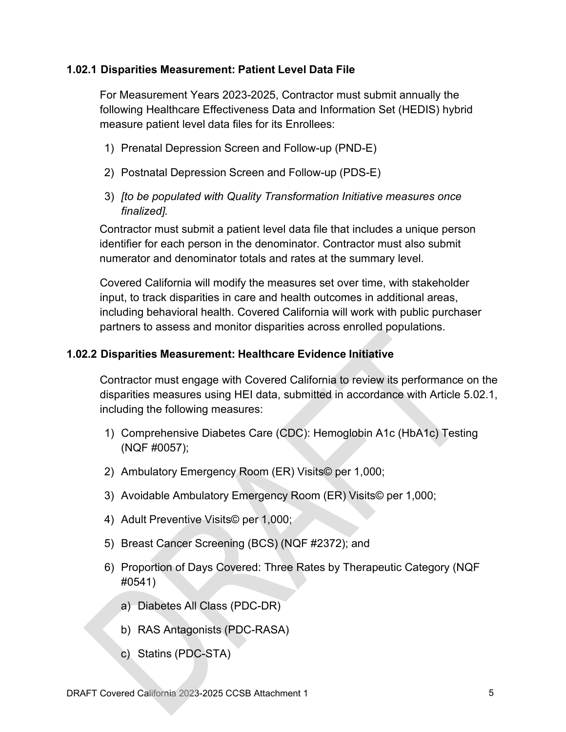#### **1.02.1 Disparities Measurement: Patient Level Data File**

For Measurement Years 2023-2025, Contractor must submit annually the following Healthcare Effectiveness Data and Information Set (HEDIS) hybrid measure patient level data files for its Enrollees:

- 1) Prenatal Depression Screen and Follow-up (PND-E)
- 2) Postnatal Depression Screen and Follow-up (PDS-E)
- 3) *[to be populated with Quality Transformation Initiative measures once finalized].*

Contractor must submit a patient level data file that includes a unique person identifier for each person in the denominator. Contractor must also submit numerator and denominator totals and rates at the summary level.

Covered California will modify the measures set over time, with stakeholder input, to track disparities in care and health outcomes in additional areas, including behavioral health. Covered California will work with public purchaser partners to assess and monitor disparities across enrolled populations.

#### **1.02.2 Disparities Measurement: Healthcare Evidence Initiative**

Contractor must engage with Covered California to review its performance on the disparities measures using HEI data, submitted in accordance with Article 5.02.1, including the following measures:

- 1) Comprehensive Diabetes Care (CDC): Hemoglobin A1c (HbA1c) Testing (NQF #0057);
- 2) Ambulatory Emergency Room (ER) Visits© per 1,000;
- 3) Avoidable Ambulatory Emergency Room (ER) Visits© per 1,000;
- 4) Adult Preventive Visits© per 1,000;
- 5) Breast Cancer Screening (BCS) (NQF #2372); and
- 6) Proportion of Days Covered: Three Rates by Therapeutic Category (NQF #0541)
	- a) Diabetes All Class (PDC-DR)
	- b) RAS Antagonists (PDC-RASA)
	- c) Statins (PDC-STA)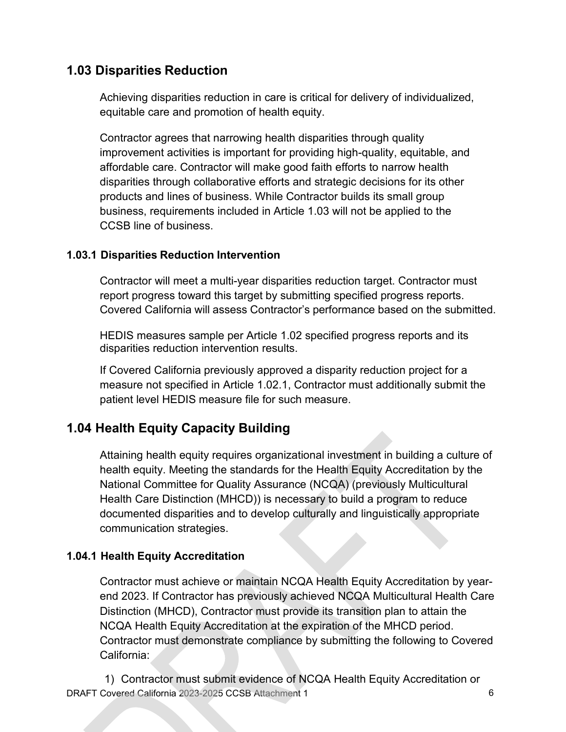# **1.03 Disparities Reduction**

Achieving disparities reduction in care is critical for delivery of individualized, equitable care and promotion of health equity.

Contractor agrees that narrowing health disparities through quality improvement activities is important for providing high-quality, equitable, and affordable care. Contractor will make good faith efforts to narrow health disparities through collaborative efforts and strategic decisions for its other products and lines of business. While Contractor builds its small group business, requirements included in Article 1.03 will not be applied to the CCSB line of business.

## **1.03.1 Disparities Reduction Intervention**

Contractor will meet a multi-year disparities reduction target. Contractor must report progress toward this target by submitting specified progress reports. Covered California will assess Contractor's performance based on the submitted.

HEDIS measures sample per Article 1.02 specified progress reports and its disparities reduction intervention results.

If Covered California previously approved a disparity reduction project for a measure not specified in Article 1.02.1, Contractor must additionally submit the patient level HEDIS measure file for such measure.

# **1.04 Health Equity Capacity Building**

Attaining health equity requires organizational investment in building a culture of health equity. Meeting the standards for the Health Equity Accreditation by the National Committee for Quality Assurance (NCQA) (previously Multicultural Health Care Distinction (MHCD)) is necessary to build a program to reduce documented disparities and to develop culturally and linguistically appropriate communication strategies.

## **1.04.1 Health Equity Accreditation**

Contractor must achieve or maintain NCQA Health Equity Accreditation by yearend 2023. If Contractor has previously achieved NCQA Multicultural Health Care Distinction (MHCD), Contractor must provide its transition plan to attain the NCQA Health Equity Accreditation at the expiration of the MHCD period. Contractor must demonstrate compliance by submitting the following to Covered California:

DRAFT Covered California 2023-2025 CCSB Attachment 1 6 1) Contractor must submit evidence of NCQA Health Equity Accreditation or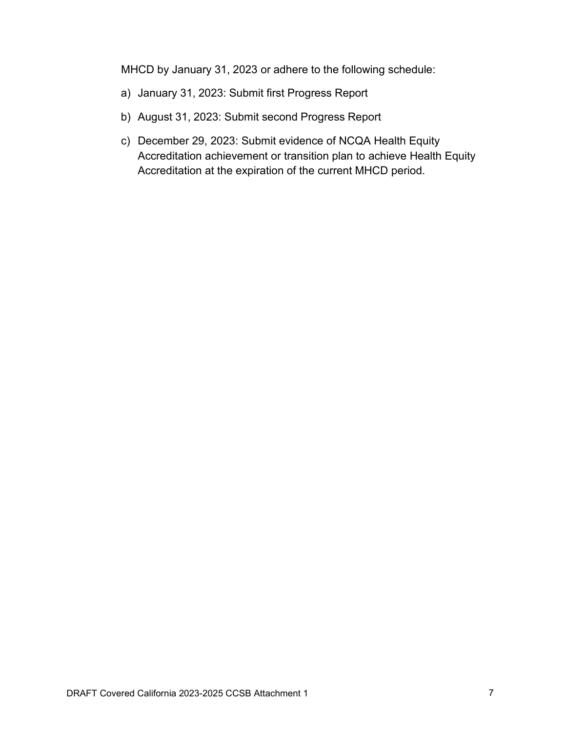MHCD by January 31, 2023 or adhere to the following schedule:

- a) January 31, 2023: Submit first Progress Report
- b) August 31, 2023: Submit second Progress Report
- c) December 29, 2023: Submit evidence of NCQA Health Equity Accreditation achievement or transition plan to achieve Health Equity Accreditation at the expiration of the current MHCD period.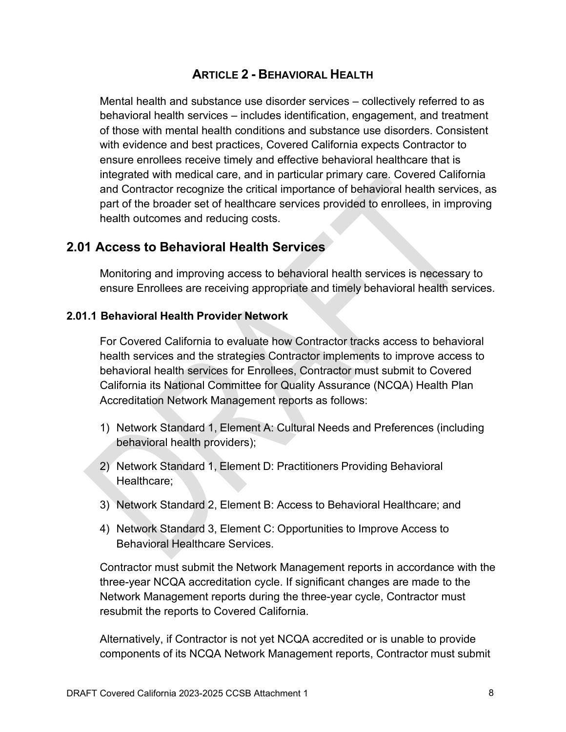## **ARTICLE 2 - BEHAVIORAL HEALTH**

Mental health and substance use disorder services – collectively referred to as behavioral health services – includes identification, engagement, and treatment of those with mental health conditions and substance use disorders. Consistent with evidence and best practices, Covered California expects Contractor to ensure enrollees receive timely and effective behavioral healthcare that is integrated with medical care, and in particular primary care. Covered California and Contractor recognize the critical importance of behavioral health services, as part of the broader set of healthcare services provided to enrollees, in improving health outcomes and reducing costs.

## **2.01 Access to Behavioral Health Services**

Monitoring and improving access to behavioral health services is necessary to ensure Enrollees are receiving appropriate and timely behavioral health services.

#### **2.01.1 Behavioral Health Provider Network**

For Covered California to evaluate how Contractor tracks access to behavioral health services and the strategies Contractor implements to improve access to behavioral health services for Enrollees, Contractor must submit to Covered California its National Committee for Quality Assurance (NCQA) Health Plan Accreditation Network Management reports as follows:

- 1) Network Standard 1, Element A: Cultural Needs and Preferences (including behavioral health providers);
- 2) Network Standard 1, Element D: Practitioners Providing Behavioral Healthcare;
- 3) Network Standard 2, Element B: Access to Behavioral Healthcare; and
- 4) Network Standard 3, Element C: Opportunities to Improve Access to Behavioral Healthcare Services.

Contractor must submit the Network Management reports in accordance with the three-year NCQA accreditation cycle. If significant changes are made to the Network Management reports during the three-year cycle, Contractor must resubmit the reports to Covered California.

Alternatively, if Contractor is not yet NCQA accredited or is unable to provide components of its NCQA Network Management reports, Contractor must submit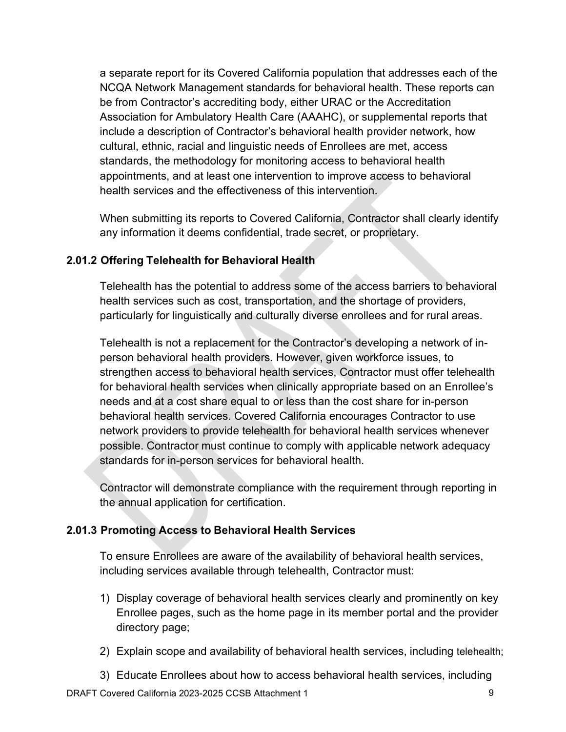a separate report for its Covered California population that addresses each of the NCQA Network Management standards for behavioral health. These reports can be from Contractor's accrediting body, either URAC or the Accreditation Association for Ambulatory Health Care (AAAHC), or supplemental reports that include a description of Contractor's behavioral health provider network, how cultural, ethnic, racial and linguistic needs of Enrollees are met, access standards, the methodology for monitoring access to behavioral health appointments, and at least one intervention to improve access to behavioral health services and the effectiveness of this intervention.

When submitting its reports to Covered California, Contractor shall clearly identify any information it deems confidential, trade secret, or proprietary.

## **2.01.2 Offering Telehealth for Behavioral Health**

Telehealth has the potential to address some of the access barriers to behavioral health services such as cost, transportation, and the shortage of providers, particularly for linguistically and culturally diverse enrollees and for rural areas.

Telehealth is not a replacement for the Contractor's developing a network of inperson behavioral health providers. However, given workforce issues, to strengthen access to behavioral health services, Contractor must offer telehealth for behavioral health services when clinically appropriate based on an Enrollee's needs and at a cost share equal to or less than the cost share for in-person behavioral health services. Covered California encourages Contractor to use network providers to provide telehealth for behavioral health services whenever possible. Contractor must continue to comply with applicable network adequacy standards for in-person services for behavioral health.

Contractor will demonstrate compliance with the requirement through reporting in the annual application for certification.

## **2.01.3 Promoting Access to Behavioral Health Services**

To ensure Enrollees are aware of the availability of behavioral health services, including services available through telehealth, Contractor must:

- 1) Display coverage of behavioral health services clearly and prominently on key Enrollee pages, such as the home page in its member portal and the provider directory page;
- 2) Explain scope and availability of behavioral health services, including telehealth;
- 3) Educate Enrollees about how to access behavioral health services, including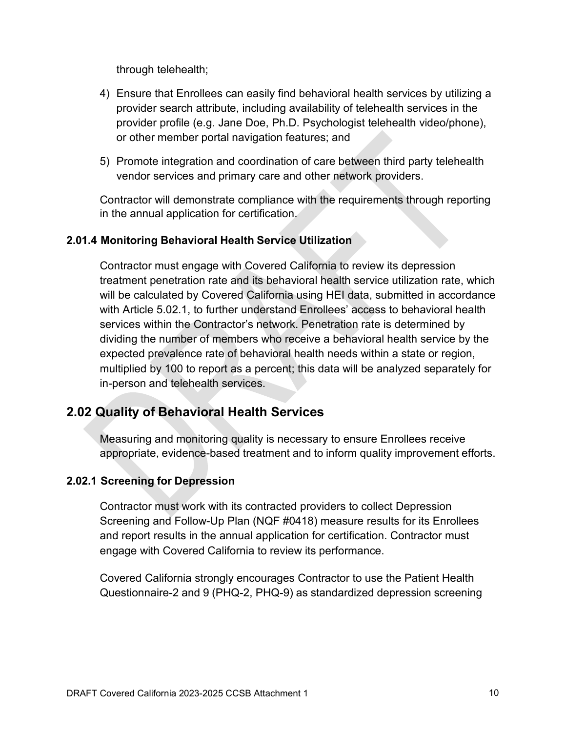through telehealth;

- 4) Ensure that Enrollees can easily find behavioral health services by utilizing a provider search attribute, including availability of telehealth services in the provider profile (e.g. Jane Doe, Ph.D. Psychologist telehealth video/phone), or other member portal navigation features; and
- 5) Promote integration and coordination of care between third party telehealth vendor services and primary care and other network providers.

Contractor will demonstrate compliance with the requirements through reporting in the annual application for certification.

## **2.01.4 Monitoring Behavioral Health Service Utilization**

Contractor must engage with Covered California to review its depression treatment penetration rate and its behavioral health service utilization rate, which will be calculated by Covered California using HEI data, submitted in accordance with Article 5.02.1, to further understand Enrollees' access to behavioral health services within the Contractor's network. Penetration rate is determined by dividing the number of members who receive a behavioral health service by the expected prevalence rate of behavioral health needs within a state or region, multiplied by 100 to report as a percent; this data will be analyzed separately for in-person and telehealth services.

# **2.02 Quality of Behavioral Health Services**

Measuring and monitoring quality is necessary to ensure Enrollees receive appropriate, evidence-based treatment and to inform quality improvement efforts.

## **2.02.1 Screening for Depression**

Contractor must work with its contracted providers to collect Depression Screening and Follow-Up Plan (NQF #0418) measure results for its Enrollees and report results in the annual application for certification. Contractor must engage with Covered California to review its performance.

Covered California strongly encourages Contractor to use the Patient Health Questionnaire-2 and 9 (PHQ-2, PHQ-9) as standardized depression screening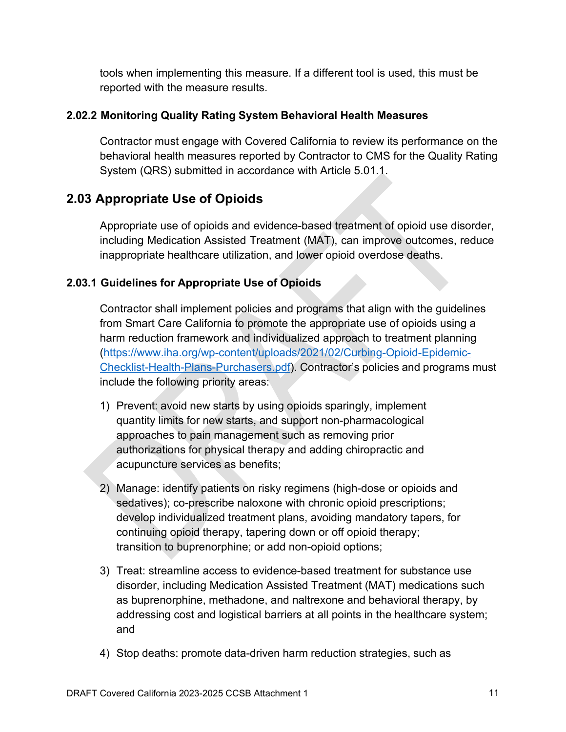tools when implementing this measure. If a different tool is used, this must be reported with the measure results.

## **2.02.2 Monitoring Quality Rating System Behavioral Health Measures**

Contractor must engage with Covered California to review its performance on the behavioral health measures reported by Contractor to CMS for the Quality Rating System (QRS) submitted in accordance with Article 5.01.1.

## **2.03 Appropriate Use of Opioids**

Appropriate use of opioids and evidence-based treatment of opioid use disorder, including Medication Assisted Treatment (MAT), can improve outcomes, reduce inappropriate healthcare utilization, and lower opioid overdose deaths.

## **2.03.1 Guidelines for Appropriate Use of Opioids**

Contractor shall implement policies and programs that align with the guidelines from Smart Care California to promote the appropriate use of opioids using a harm reduction framework and individualized approach to treatment planning [\(https://www.iha.org/wp-content/uploads/2021/02/Curbing-Opioid-Epidemic-](https://www.iha.org/wp-content/uploads/2021/02/Curbing-Opioid-Epidemic-Checklist-Health-Plans-Purchasers.pdf)[Checklist-Health-Plans-Purchasers.pdf\)](https://www.iha.org/wp-content/uploads/2021/02/Curbing-Opioid-Epidemic-Checklist-Health-Plans-Purchasers.pdf). Contractor's policies and programs must include the following priority areas:

- 1) Prevent: avoid new starts by using opioids sparingly, implement quantity limits for new starts, and support non-pharmacological approaches to pain management such as removing prior authorizations for physical therapy and adding chiropractic and acupuncture services as benefits;
- 2) Manage: identify patients on risky regimens (high-dose or opioids and sedatives); co-prescribe naloxone with chronic opioid prescriptions; develop individualized treatment plans, avoiding mandatory tapers, for continuing opioid therapy, tapering down or off opioid therapy; transition to buprenorphine; or add non-opioid options;
- 3) Treat: streamline access to evidence-based treatment for substance use disorder, including Medication Assisted Treatment (MAT) medications such as buprenorphine, methadone, and naltrexone and behavioral therapy, by addressing cost and logistical barriers at all points in the healthcare system; and
- 4) Stop deaths: promote data-driven harm reduction strategies, such as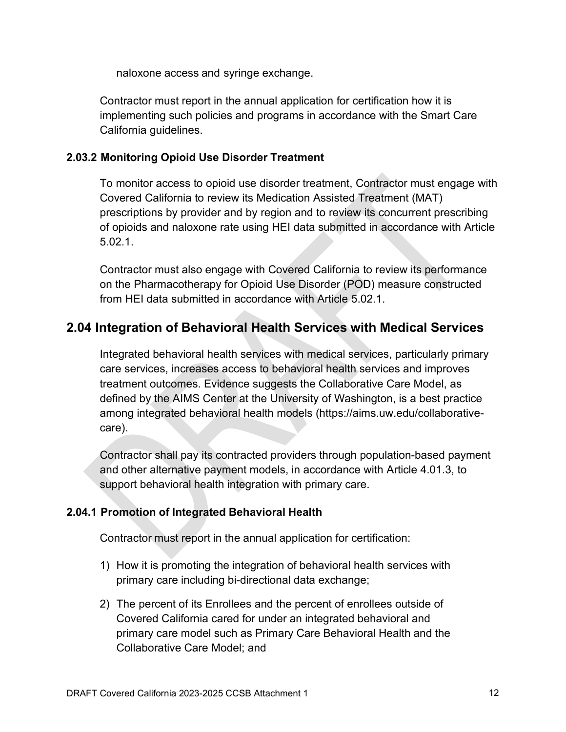naloxone access and syringe exchange.

Contractor must report in the annual application for certification how it is implementing such policies and programs in accordance with the Smart Care California guidelines.

#### **2.03.2 Monitoring Opioid Use Disorder Treatment**

To monitor access to opioid use disorder treatment, Contractor must engage with Covered California to review its Medication Assisted Treatment (MAT) prescriptions by provider and by region and to review its concurrent prescribing of opioids and naloxone rate using HEI data submitted in accordance with Article 5.02.1.

Contractor must also engage with Covered California to review its performance on the Pharmacotherapy for Opioid Use Disorder (POD) measure constructed from HEI data submitted in accordance with Article 5.02.1.

# **2.04 Integration of Behavioral Health Services with Medical Services**

Integrated behavioral health services with medical services, particularly primary care services, increases access to behavioral health services and improves treatment outcomes. Evidence suggests the Collaborative Care Model, as defined by the AIMS Center at the University of Washington, is a best practice among integrated behavioral health models (https://aims.uw.edu/collaborativecare).

Contractor shall pay its contracted providers through population-based payment and other alternative payment models, in accordance with Article 4.01.3, to support behavioral health integration with primary care.

## **2.04.1 Promotion of Integrated Behavioral Health**

Contractor must report in the annual application for certification:

- 1) How it is promoting the integration of behavioral health services with primary care including bi-directional data exchange;
- 2) The percent of its Enrollees and the percent of enrollees outside of Covered California cared for under an integrated behavioral and primary care model such as Primary Care Behavioral Health and the Collaborative Care Model; and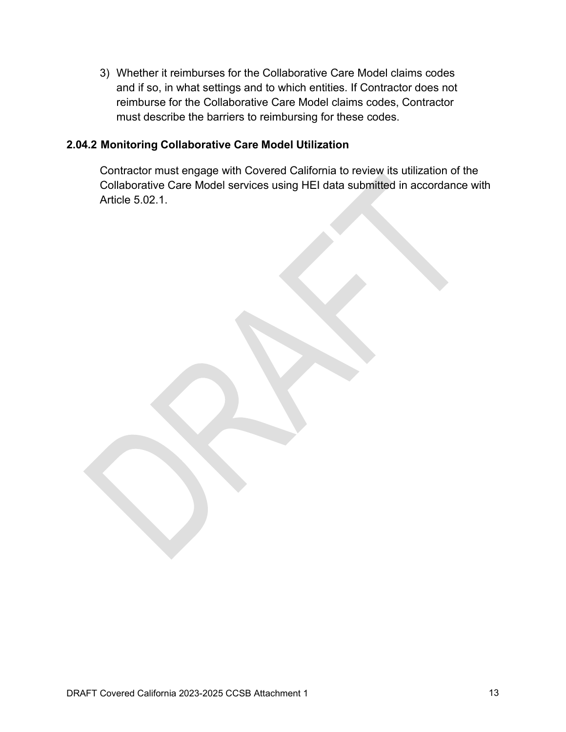3) Whether it reimburses for the Collaborative Care Model claims codes and if so, in what settings and to which entities. If Contractor does not reimburse for the Collaborative Care Model claims codes, Contractor must describe the barriers to reimbursing for these codes.

#### **2.04.2 Monitoring Collaborative Care Model Utilization**

Contractor must engage with Covered California to review its utilization of the Collaborative Care Model services using HEI data submitted in accordance with Article 5.02.1.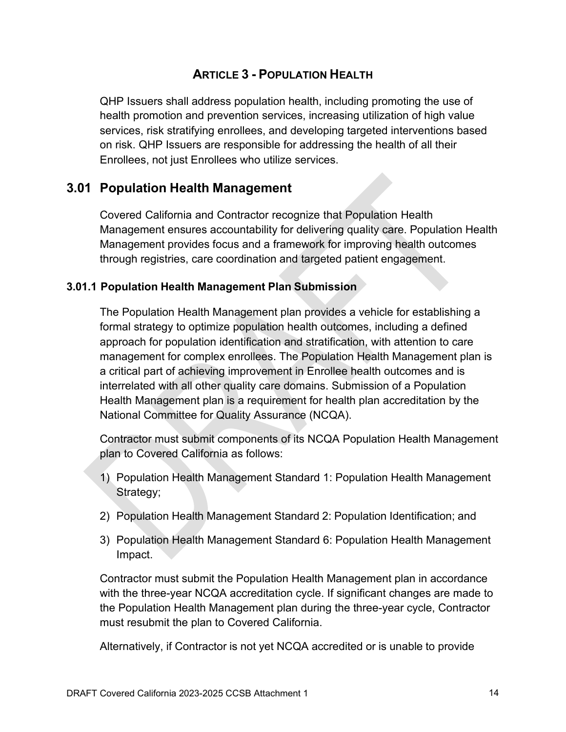## **ARTICLE 3 - POPULATION HEALTH**

QHP Issuers shall address population health, including promoting the use of health promotion and prevention services, increasing utilization of high value services, risk stratifying enrollees, and developing targeted interventions based on risk. QHP Issuers are responsible for addressing the health of all their Enrollees, not just Enrollees who utilize services.

## **3.01 Population Health Management**

Covered California and Contractor recognize that Population Health Management ensures accountability for delivering quality care. Population Health Management provides focus and a framework for improving health outcomes through registries, care coordination and targeted patient engagement.

#### **3.01.1 Population Health Management Plan Submission**

The Population Health Management plan provides a vehicle for establishing a formal strategy to optimize population health outcomes, including a defined approach for population identification and stratification, with attention to care management for complex enrollees. The Population Health Management plan is a critical part of achieving improvement in Enrollee health outcomes and is interrelated with all other quality care domains. Submission of a Population Health Management plan is a requirement for health plan accreditation by the National Committee for Quality Assurance (NCQA).

Contractor must submit components of its NCQA Population Health Management plan to Covered California as follows:

- 1) Population Health Management Standard 1: Population Health Management Strategy;
- 2) Population Health Management Standard 2: Population Identification; and
- 3) Population Health Management Standard 6: Population Health Management Impact.

Contractor must submit the Population Health Management plan in accordance with the three-year NCQA accreditation cycle. If significant changes are made to the Population Health Management plan during the three-year cycle, Contractor must resubmit the plan to Covered California.

Alternatively, if Contractor is not yet NCQA accredited or is unable to provide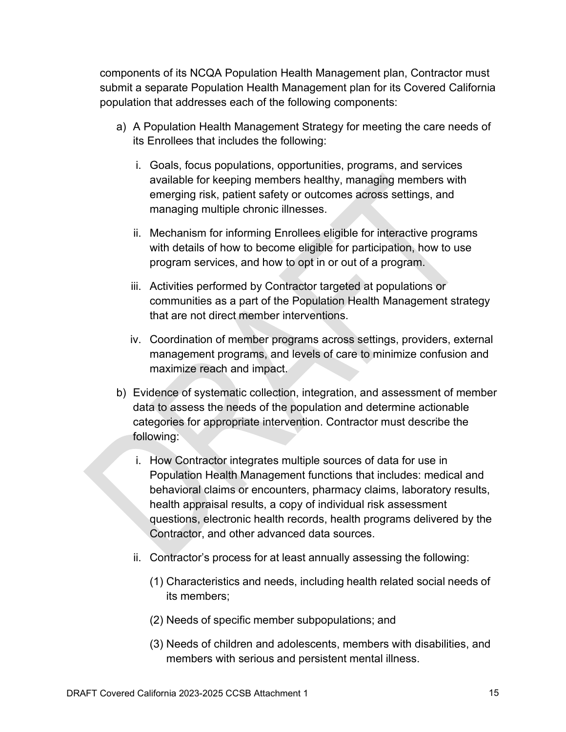components of its NCQA Population Health Management plan, Contractor must submit a separate Population Health Management plan for its Covered California population that addresses each of the following components:

- a) A Population Health Management Strategy for meeting the care needs of its Enrollees that includes the following:
	- i. Goals, focus populations, opportunities, programs, and services available for keeping members healthy, managing members with emerging risk, patient safety or outcomes across settings, and managing multiple chronic illnesses.
	- ii. Mechanism for informing Enrollees eligible for interactive programs with details of how to become eligible for participation, how to use program services, and how to opt in or out of a program.
	- iii. Activities performed by Contractor targeted at populations or communities as a part of the Population Health Management strategy that are not direct member interventions.
	- iv. Coordination of member programs across settings, providers, external management programs, and levels of care to minimize confusion and maximize reach and impact.
- b) Evidence of systematic collection, integration, and assessment of member data to assess the needs of the population and determine actionable categories for appropriate intervention. Contractor must describe the following:
	- i. How Contractor integrates multiple sources of data for use in Population Health Management functions that includes: medical and behavioral claims or encounters, pharmacy claims, laboratory results, health appraisal results, a copy of individual risk assessment questions, electronic health records, health programs delivered by the Contractor, and other advanced data sources.
	- ii. Contractor's process for at least annually assessing the following:
		- (1) Characteristics and needs, including health related social needs of its members;
		- (2) Needs of specific member subpopulations; and
		- (3) Needs of children and adolescents, members with disabilities, and members with serious and persistent mental illness.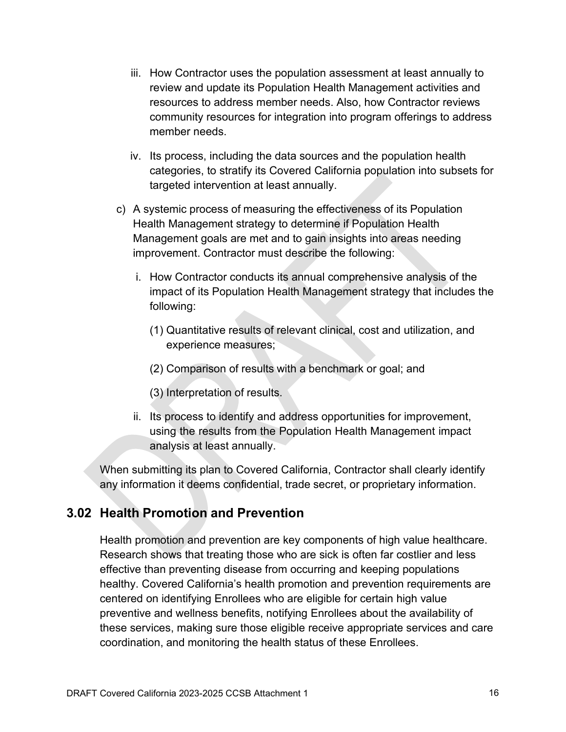- iii. How Contractor uses the population assessment at least annually to review and update its Population Health Management activities and resources to address member needs. Also, how Contractor reviews community resources for integration into program offerings to address member needs.
- iv. Its process, including the data sources and the population health categories, to stratify its Covered California population into subsets for targeted intervention at least annually.
- c) A systemic process of measuring the effectiveness of its Population Health Management strategy to determine if Population Health Management goals are met and to gain insights into areas needing improvement. Contractor must describe the following:
	- i. How Contractor conducts its annual comprehensive analysis of the impact of its Population Health Management strategy that includes the following:
		- (1) Quantitative results of relevant clinical, cost and utilization, and experience measures;
		- (2) Comparison of results with a benchmark or goal; and
		- (3) Interpretation of results.
	- ii. Its process to identify and address opportunities for improvement, using the results from the Population Health Management impact analysis at least annually.

When submitting its plan to Covered California, Contractor shall clearly identify any information it deems confidential, trade secret, or proprietary information.

# **3.02 Health Promotion and Prevention**

Health promotion and prevention are key components of high value healthcare. Research shows that treating those who are sick is often far costlier and less effective than preventing disease from occurring and keeping populations healthy. Covered California's health promotion and prevention requirements are centered on identifying Enrollees who are eligible for certain high value preventive and wellness benefits, notifying Enrollees about the availability of these services, making sure those eligible receive appropriate services and care coordination, and monitoring the health status of these Enrollees.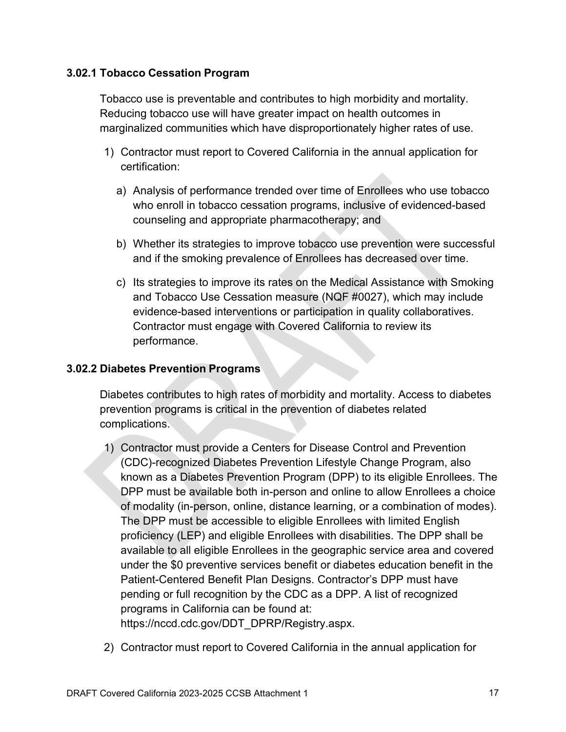#### **3.02.1 Tobacco Cessation Program**

Tobacco use is preventable and contributes to high morbidity and mortality. Reducing tobacco use will have greater impact on health outcomes in marginalized communities which have disproportionately higher rates of use.

- 1) Contractor must report to Covered California in the annual application for certification:
	- a) Analysis of performance trended over time of Enrollees who use tobacco who enroll in tobacco cessation programs, inclusive of evidenced-based counseling and appropriate pharmacotherapy; and
	- b) Whether its strategies to improve tobacco use prevention were successful and if the smoking prevalence of Enrollees has decreased over time.
	- c) Its strategies to improve its rates on the Medical Assistance with Smoking and Tobacco Use Cessation measure (NQF #0027), which may include evidence-based interventions or participation in quality collaboratives. Contractor must engage with Covered California to review its performance.

#### **3.02.2 Diabetes Prevention Programs**

Diabetes contributes to high rates of morbidity and mortality. Access to diabetes prevention programs is critical in the prevention of diabetes related complications.

- 1) Contractor must provide a Centers for Disease Control and Prevention (CDC)-recognized Diabetes Prevention Lifestyle Change Program, also known as a Diabetes Prevention Program (DPP) to its eligible Enrollees. The DPP must be available both in-person and online to allow Enrollees a choice of modality (in-person, online, distance learning, or a combination of modes). The DPP must be accessible to eligible Enrollees with limited English proficiency (LEP) and eligible Enrollees with disabilities. The DPP shall be available to all eligible Enrollees in the geographic service area and covered under the \$0 preventive services benefit or diabetes education benefit in the Patient-Centered Benefit Plan Designs. Contractor's DPP must have pending or full recognition by the CDC as a DPP. A list of recognized programs in California can be found at: [https://nccd.cdc.gov/DDT\\_DPRP/Registry.aspx.](https://nccd.cdc.gov/DDT_DPRP/Registry.aspx)
- 2) Contractor must report to Covered California in the annual application for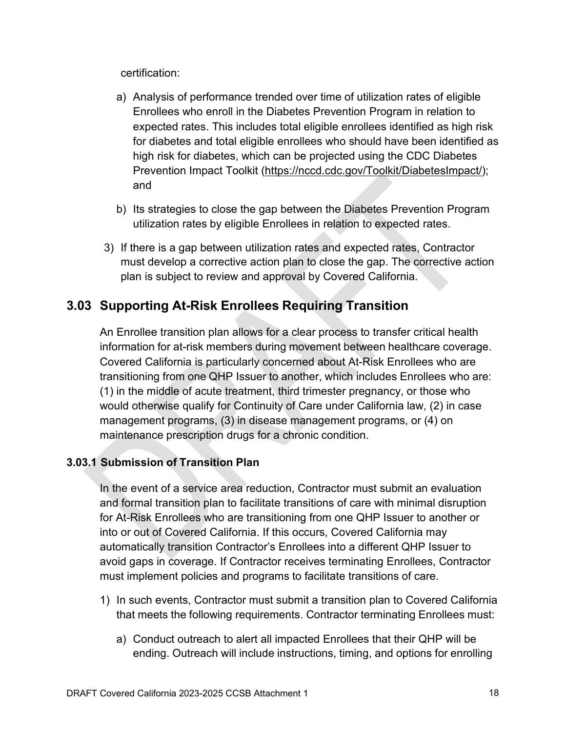certification:

- a) Analysis of performance trended over time of utilization rates of eligible Enrollees who enroll in the Diabetes Prevention Program in relation to expected rates. This includes total eligible enrollees identified as high risk for diabetes and total eligible enrollees who should have been identified as high risk for diabetes, which can be projected using the CDC Diabetes Prevention Impact Toolkit [\(https://nccd.cdc.gov/Toolkit/DiabetesImpact/\)](https://nccd.cdc.gov/Toolkit/DiabetesImpact/); and
- b) Its strategies to close the gap between the Diabetes Prevention Program utilization rates by eligible Enrollees in relation to expected rates.
- 3) If there is a gap between utilization rates and expected rates, Contractor must develop a corrective action plan to close the gap. The corrective action plan is subject to review and approval by Covered California.

# **3.03 Supporting At-Risk Enrollees Requiring Transition**

An Enrollee transition plan allows for a clear process to transfer critical health information for at-risk members during movement between healthcare coverage. Covered California is particularly concerned about At-Risk Enrollees who are transitioning from one QHP Issuer to another, which includes Enrollees who are: (1) in the middle of acute treatment, third trimester pregnancy, or those who would otherwise qualify for Continuity of Care under California law, (2) in case management programs, (3) in disease management programs, or (4) on maintenance prescription drugs for a chronic condition.

## **3.03.1 Submission of Transition Plan**

In the event of a service area reduction, Contractor must submit an evaluation and formal transition plan to facilitate transitions of care with minimal disruption for At-Risk Enrollees who are transitioning from one QHP Issuer to another or into or out of Covered California. If this occurs, Covered California may automatically transition Contractor's Enrollees into a different QHP Issuer to avoid gaps in coverage. If Contractor receives terminating Enrollees, Contractor must implement policies and programs to facilitate transitions of care.

- 1) In such events, Contractor must submit a transition plan to Covered California that meets the following requirements. Contractor terminating Enrollees must:
	- a) Conduct outreach to alert all impacted Enrollees that their QHP will be ending. Outreach will include instructions, timing, and options for enrolling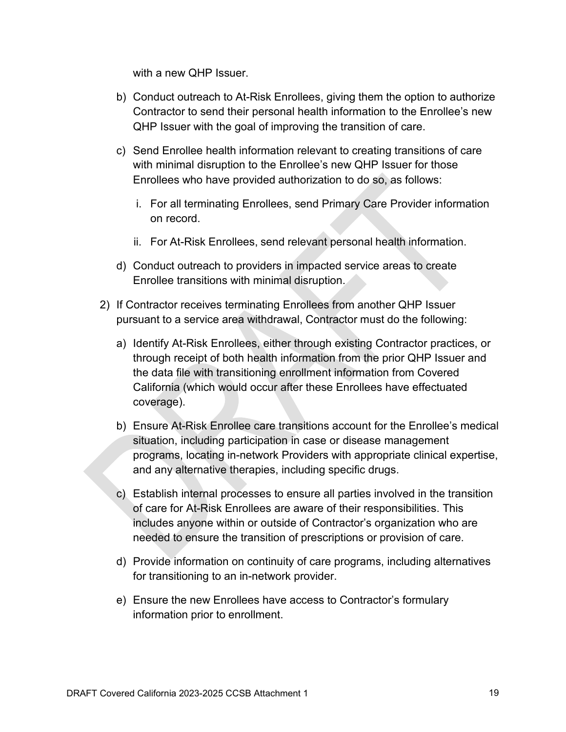with a new QHP Issuer.

- b) Conduct outreach to At-Risk Enrollees, giving them the option to authorize Contractor to send their personal health information to the Enrollee's new QHP Issuer with the goal of improving the transition of care.
- c) Send Enrollee health information relevant to creating transitions of care with minimal disruption to the Enrollee's new QHP Issuer for those Enrollees who have provided authorization to do so, as follows:
	- i. For all terminating Enrollees, send Primary Care Provider information on record.
	- ii. For At-Risk Enrollees, send relevant personal health information.
- d) Conduct outreach to providers in impacted service areas to create Enrollee transitions with minimal disruption.
- 2) If Contractor receives terminating Enrollees from another QHP Issuer pursuant to a service area withdrawal, Contractor must do the following:
	- a) Identify At-Risk Enrollees, either through existing Contractor practices, or through receipt of both health information from the prior QHP Issuer and the data file with transitioning enrollment information from Covered California (which would occur after these Enrollees have effectuated coverage).
	- b) Ensure At-Risk Enrollee care transitions account for the Enrollee's medical situation, including participation in case or disease management programs, locating in-network Providers with appropriate clinical expertise, and any alternative therapies, including specific drugs.
	- c) Establish internal processes to ensure all parties involved in the transition of care for At-Risk Enrollees are aware of their responsibilities. This includes anyone within or outside of Contractor's organization who are needed to ensure the transition of prescriptions or provision of care.
	- d) Provide information on continuity of care programs, including alternatives for transitioning to an in-network provider.
	- e) Ensure the new Enrollees have access to Contractor's formulary information prior to enrollment.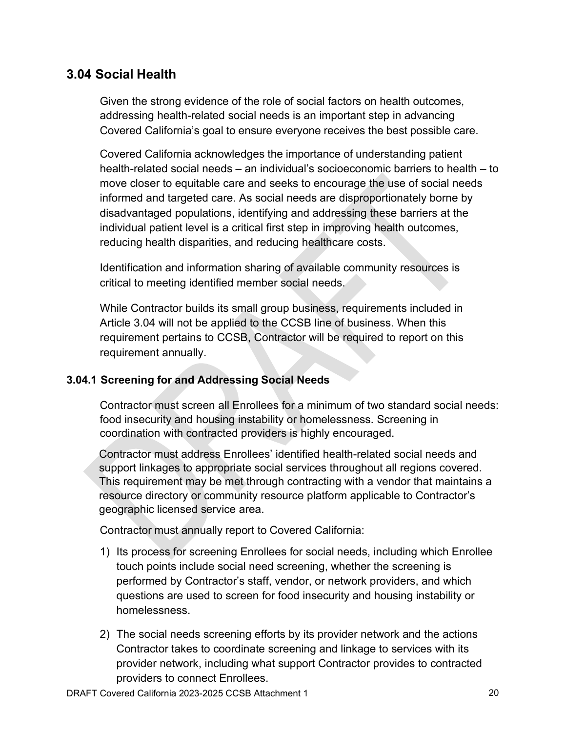## **3.04 Social Health**

Given the strong evidence of the role of social factors on health outcomes, addressing health-related social needs is an important step in advancing Covered California's goal to ensure everyone receives the best possible care.

Covered California acknowledges the importance of understanding patient health-related social needs – an individual's socioeconomic barriers to health – to move closer to equitable care and seeks to encourage the use of social needs informed and targeted care. As social needs are disproportionately borne by disadvantaged populations, identifying and addressing these barriers at the individual patient level is a critical first step in improving health outcomes, reducing health disparities, and reducing healthcare costs.

Identification and information sharing of available community resources is critical to meeting identified member social needs.

While Contractor builds its small group business, requirements included in Article 3.04 will not be applied to the CCSB line of business. When this requirement pertains to CCSB, Contractor will be required to report on this requirement annually.

## **3.04.1 Screening for and Addressing Social Needs**

Contractor must screen all Enrollees for a minimum of two standard social needs: food insecurity and housing instability or homelessness. Screening in coordination with contracted providers is highly encouraged.

Contractor must address Enrollees' identified health-related social needs and support linkages to appropriate social services throughout all regions covered. This requirement may be met through contracting with a vendor that maintains a resource directory or community resource platform applicable to Contractor's geographic licensed service area.

Contractor must annually report to Covered California:

- 1) Its process for screening Enrollees for social needs, including which Enrollee touch points include social need screening, whether the screening is performed by Contractor's staff, vendor, or network providers, and which questions are used to screen for food insecurity and housing instability or homelessness.
- 2) The social needs screening efforts by its provider network and the actions Contractor takes to coordinate screening and linkage to services with its provider network, including what support Contractor provides to contracted providers to connect Enrollees.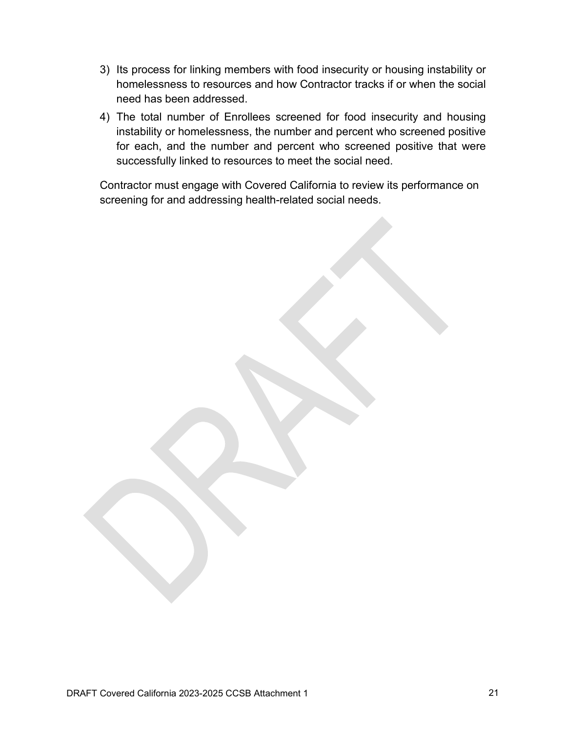- 3) Its process for linking members with food insecurity or housing instability or homelessness to resources and how Contractor tracks if or when the social need has been addressed.
- 4) The total number of Enrollees screened for food insecurity and housing instability or homelessness, the number and percent who screened positive for each, and the number and percent who screened positive that were successfully linked to resources to meet the social need.

Contractor must engage with Covered California to review its performance on screening for and addressing health-related social needs.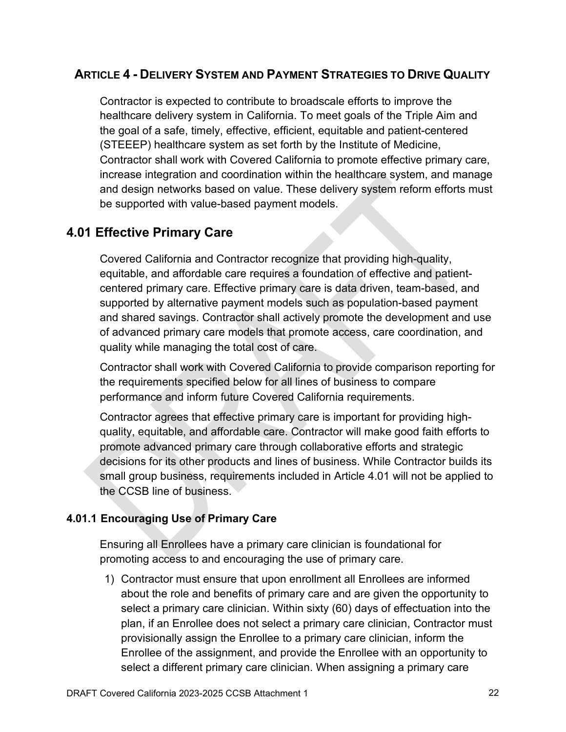## **ARTICLE 4 - DELIVERY SYSTEM AND PAYMENT STRATEGIES TO DRIVE QUALITY**

Contractor is expected to contribute to broadscale efforts to improve the healthcare delivery system in California. To meet goals of the Triple Aim and the goal of a safe, timely, effective, efficient, equitable and patient-centered (STEEEP) healthcare system as set forth by the Institute of Medicine, Contractor shall work with Covered California to promote effective primary care, increase integration and coordination within the healthcare system, and manage and design networks based on value. These delivery system reform efforts must be supported with value-based payment models.

# **4.01 Effective Primary Care**

Covered California and Contractor recognize that providing high-quality, equitable, and affordable care requires a foundation of effective and patientcentered primary care. Effective primary care is data driven, team-based, and supported by alternative payment models such as population-based payment and shared savings. Contractor shall actively promote the development and use of advanced primary care models that promote access, care coordination, and quality while managing the total cost of care.

Contractor shall work with Covered California to provide comparison reporting for the requirements specified below for all lines of business to compare performance and inform future Covered California requirements.

Contractor agrees that effective primary care is important for providing highquality, equitable, and affordable care. Contractor will make good faith efforts to promote advanced primary care through collaborative efforts and strategic decisions for its other products and lines of business. While Contractor builds its small group business, requirements included in Article 4.01 will not be applied to the CCSB line of business.

## **4.01.1 Encouraging Use of Primary Care**

Ensuring all Enrollees have a primary care clinician is foundational for promoting access to and encouraging the use of primary care.

1) Contractor must ensure that upon enrollment all Enrollees are informed about the role and benefits of primary care and are given the opportunity to select a primary care clinician. Within sixty (60) days of effectuation into the plan, if an Enrollee does not select a primary care clinician, Contractor must provisionally assign the Enrollee to a primary care clinician, inform the Enrollee of the assignment, and provide the Enrollee with an opportunity to select a different primary care clinician. When assigning a primary care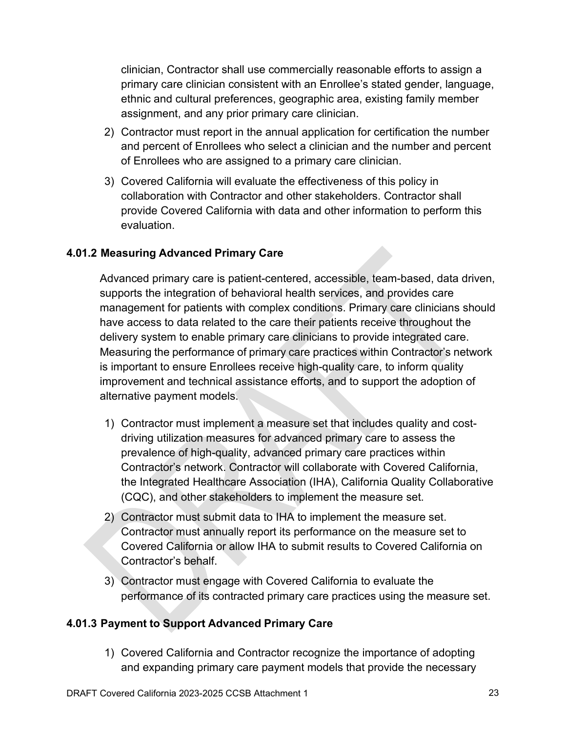clinician, Contractor shall use commercially reasonable efforts to assign a primary care clinician consistent with an Enrollee's stated gender, language, ethnic and cultural preferences, geographic area, existing family member assignment, and any prior primary care clinician.

- 2) Contractor must report in the annual application for certification the number and percent of Enrollees who select a clinician and the number and percent of Enrollees who are assigned to a primary care clinician.
- 3) Covered California will evaluate the effectiveness of this policy in collaboration with Contractor and other stakeholders. Contractor shall provide Covered California with data and other information to perform this evaluation.

#### **4.01.2 Measuring Advanced Primary Care**

Advanced primary care is patient-centered, accessible, team-based, data driven, supports the integration of behavioral health services, and provides care management for patients with complex conditions. Primary care clinicians should have access to data related to the care their patients receive throughout the delivery system to enable primary care clinicians to provide integrated care. Measuring the performance of primary care practices within Contractor's network is important to ensure Enrollees receive high-quality care, to inform quality improvement and technical assistance efforts, and to support the adoption of alternative payment models.

- 1) Contractor must implement a measure set that includes quality and costdriving utilization measures for advanced primary care to assess the prevalence of high-quality, advanced primary care practices within Contractor's network. Contractor will collaborate with Covered California, the Integrated Healthcare Association (IHA), California Quality Collaborative (CQC), and other stakeholders to implement the measure set.
- 2) Contractor must submit data to IHA to implement the measure set. Contractor must annually report its performance on the measure set to Covered California or allow IHA to submit results to Covered California on Contractor's behalf.
- 3) Contractor must engage with Covered California to evaluate the performance of its contracted primary care practices using the measure set.

#### **4.01.3 Payment to Support Advanced Primary Care**

1) Covered California and Contractor recognize the importance of adopting and expanding primary care payment models that provide the necessary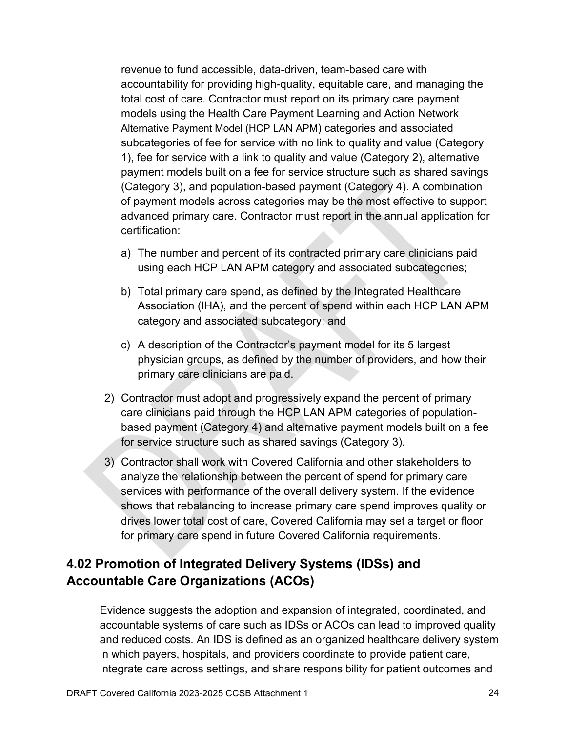revenue to fund accessible, data-driven, team-based care with accountability for providing high-quality, equitable care, and managing the total cost of care. Contractor must report on its primary care payment models using the Health Care Payment Learning and Action Network Alternative Payment Model (HCP LAN APM) categories and associated subcategories of fee for service with no link to quality and value (Category 1), fee for service with a link to quality and value (Category 2), alternative payment models built on a fee for service structure such as shared savings (Category 3), and population-based payment (Category 4). A combination of payment models across categories may be the most effective to support advanced primary care. Contractor must report in the annual application for certification:

- a) The number and percent of its contracted primary care clinicians paid using each HCP LAN APM category and associated subcategories;
- b) Total primary care spend, as defined by the Integrated Healthcare Association (IHA), and the percent of spend within each HCP LAN APM category and associated subcategory; and
- c) A description of the Contractor's payment model for its 5 largest physician groups, as defined by the number of providers, and how their primary care clinicians are paid.
- 2) Contractor must adopt and progressively expand the percent of primary care clinicians paid through the HCP LAN APM categories of populationbased payment (Category 4) and alternative payment models built on a fee for service structure such as shared savings (Category 3).
- 3) Contractor shall work with Covered California and other stakeholders to analyze the relationship between the percent of spend for primary care services with performance of the overall delivery system. If the evidence shows that rebalancing to increase primary care spend improves quality or drives lower total cost of care, Covered California may set a target or floor for primary care spend in future Covered California requirements.

# **4.02 Promotion of Integrated Delivery Systems (IDSs) and Accountable Care Organizations (ACOs)**

Evidence suggests the adoption and expansion of integrated, coordinated, and accountable systems of care such as IDSs or ACOs can lead to improved quality and reduced costs. An IDS is defined as an organized healthcare delivery system in which payers, hospitals, and providers coordinate to provide patient care, integrate care across settings, and share responsibility for patient outcomes and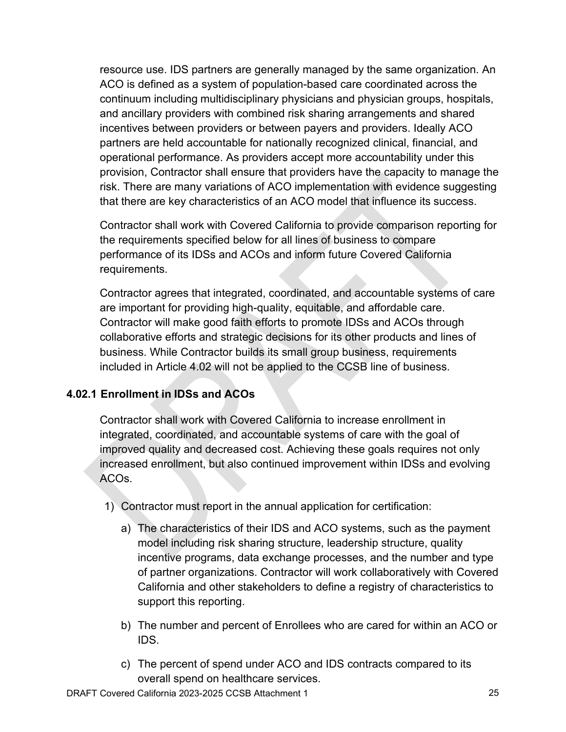resource use. IDS partners are generally managed by the same organization. An ACO is defined as a system of population-based care coordinated across the continuum including multidisciplinary physicians and physician groups, hospitals, and ancillary providers with combined risk sharing arrangements and shared incentives between providers or between payers and providers. Ideally ACO partners are held accountable for nationally recognized clinical, financial, and operational performance. As providers accept more accountability under this provision, Contractor shall ensure that providers have the capacity to manage the risk. There are many variations of ACO implementation with evidence suggesting that there are key characteristics of an ACO model that influence its success.

Contractor shall work with Covered California to provide comparison reporting for the requirements specified below for all lines of business to compare performance of its IDSs and ACOs and inform future Covered California requirements.

Contractor agrees that integrated, coordinated, and accountable systems of care are important for providing high-quality, equitable, and affordable care. Contractor will make good faith efforts to promote IDSs and ACOs through collaborative efforts and strategic decisions for its other products and lines of business. While Contractor builds its small group business, requirements included in Article 4.02 will not be applied to the CCSB line of business.

## **4.02.1 Enrollment in IDSs and ACOs**

Contractor shall work with Covered California to increase enrollment in integrated, coordinated, and accountable systems of care with the goal of improved quality and decreased cost. Achieving these goals requires not only increased enrollment, but also continued improvement within IDSs and evolving ACOs.

- 1) Contractor must report in the annual application for certification:
	- a) The characteristics of their IDS and ACO systems, such as the payment model including risk sharing structure, leadership structure, quality incentive programs, data exchange processes, and the number and type of partner organizations. Contractor will work collaboratively with Covered California and other stakeholders to define a registry of characteristics to support this reporting.
	- b) The number and percent of Enrollees who are cared for within an ACO or IDS.
	- c) The percent of spend under ACO and IDS contracts compared to its overall spend on healthcare services.

DRAFT Covered California 2023-2025 CCSB Attachment 1 25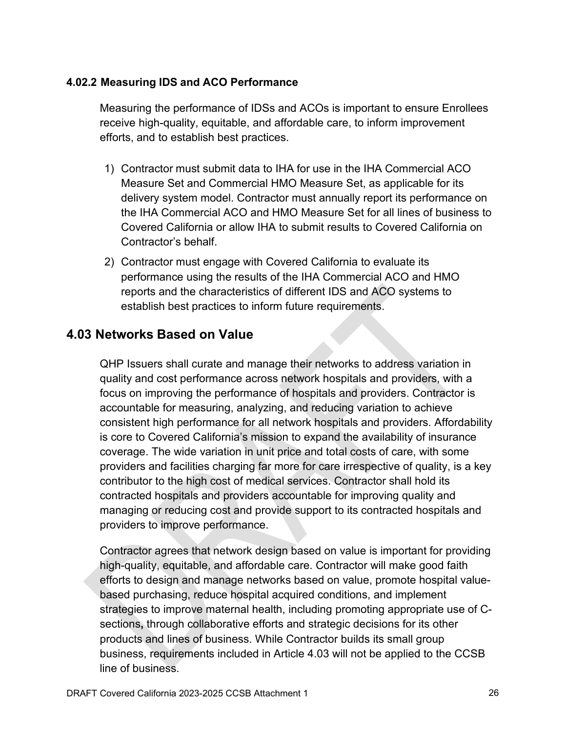#### **4.02.2 Measuring IDS and ACO Performance**

Measuring the performance of IDSs and ACOs is important to ensure Enrollees receive high-quality, equitable, and affordable care, to inform improvement efforts, and to establish best practices.

- 1) Contractor must submit data to IHA for use in the IHA Commercial ACO Measure Set and Commercial HMO Measure Set, as applicable for its delivery system model. Contractor must annually report its performance on the IHA Commercial ACO and HMO Measure Set for all lines of business to Covered California or allow IHA to submit results to Covered California on Contractor's behalf.
- 2) Contractor must engage with Covered California to evaluate its performance using the results of the IHA Commercial ACO and HMO reports and the characteristics of different IDS and ACO systems to establish best practices to inform future requirements.

## **4.03 Networks Based on Value**

QHP Issuers shall curate and manage their networks to address variation in quality and cost performance across network hospitals and providers, with a focus on improving the performance of hospitals and providers. Contractor is accountable for measuring, analyzing, and reducing variation to achieve consistent high performance for all network hospitals and providers. Affordability is core to Covered California's mission to expand the availability of insurance coverage. The wide variation in unit price and total costs of care, with some providers and facilities charging far more for care irrespective of quality, is a key contributor to the high cost of medical services. Contractor shall hold its contracted hospitals and providers accountable for improving quality and managing or reducing cost and provide support to its contracted hospitals and providers to improve performance.

Contractor agrees that network design based on value is important for providing high-quality, equitable, and affordable care. Contractor will make good faith efforts to design and manage networks based on value, promote hospital valuebased purchasing, reduce hospital acquired conditions, and implement strategies to improve maternal health, including promoting appropriate use of Csections**,** through collaborative efforts and strategic decisions for its other products and lines of business. While Contractor builds its small group business, requirements included in Article 4.03 will not be applied to the CCSB line of business.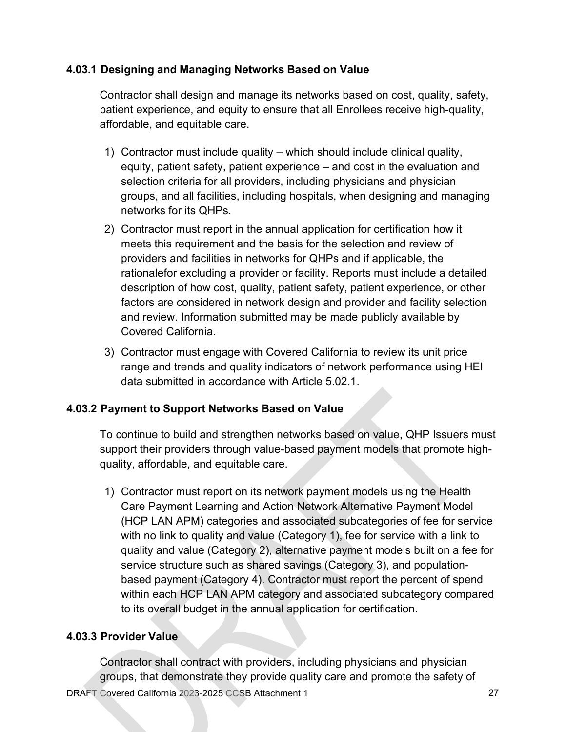#### **4.03.1 Designing and Managing Networks Based on Value**

Contractor shall design and manage its networks based on cost, quality, safety, patient experience, and equity to ensure that all Enrollees receive high-quality, affordable, and equitable care.

- 1) Contractor must include quality which should include clinical quality, equity, patient safety, patient experience – and cost in the evaluation and selection criteria for all providers, including physicians and physician groups, and all facilities, including hospitals, when designing and managing networks for its QHPs.
- 2) Contractor must report in the annual application for certification how it meets this requirement and the basis for the selection and review of providers and facilities in networks for QHPs and if applicable, the rationalefor excluding a provider or facility. Reports must include a detailed description of how cost, quality, patient safety, patient experience, or other factors are considered in network design and provider and facility selection and review. Information submitted may be made publicly available by Covered California.
- 3) Contractor must engage with Covered California to review its unit price range and trends and quality indicators of network performance using HEI data submitted in accordance with Article 5.02.1.

## **4.03.2 Payment to Support Networks Based on Value**

To continue to build and strengthen networks based on value, QHP Issuers must support their providers through value-based payment models that promote highquality, affordable, and equitable care.

1) Contractor must report on its network payment models using the Health Care Payment Learning and Action Network Alternative Payment Model (HCP LAN APM) categories and associated subcategories of fee for service with no link to quality and value (Category 1), fee for service with a link to quality and value (Category 2), alternative payment models built on a fee for service structure such as shared savings (Category 3), and populationbased payment (Category 4). Contractor must report the percent of spend within each HCP LAN APM category and associated subcategory compared to its overall budget in the annual application for certification.

## **4.03.3 Provider Value**

DRAFT Covered California 2023-2025 CCSB Attachment 1 27 Contractor shall contract with providers, including physicians and physician groups, that demonstrate they provide quality care and promote the safety of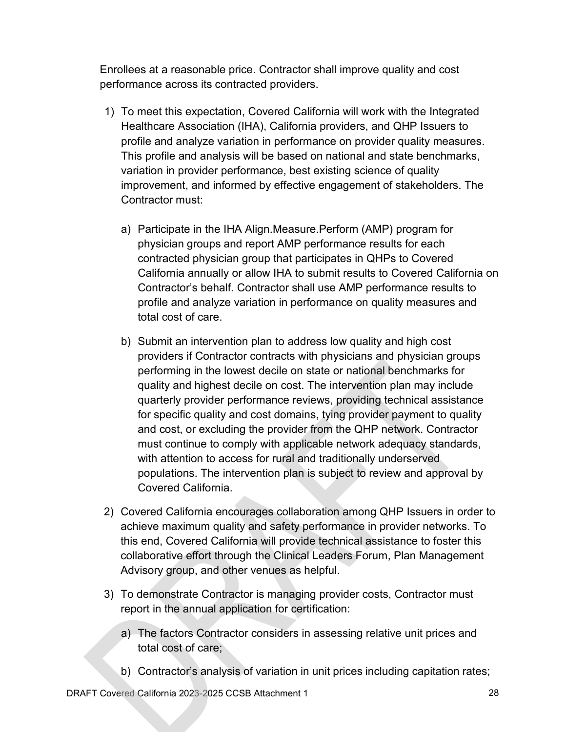Enrollees at a reasonable price. Contractor shall improve quality and cost performance across its contracted providers.

- 1) To meet this expectation, Covered California will work with the Integrated Healthcare Association (IHA), California providers, and QHP Issuers to profile and analyze variation in performance on provider quality measures. This profile and analysis will be based on national and state benchmarks, variation in provider performance, best existing science of quality improvement, and informed by effective engagement of stakeholders. The Contractor must:
	- a) Participate in the IHA Align.Measure.Perform (AMP) program for physician groups and report AMP performance results for each contracted physician group that participates in QHPs to Covered California annually or allow IHA to submit results to Covered California on Contractor's behalf. Contractor shall use AMP performance results to profile and analyze variation in performance on quality measures and total cost of care.
	- b) Submit an intervention plan to address low quality and high cost providers if Contractor contracts with physicians and physician groups performing in the lowest decile on state or national benchmarks for quality and highest decile on cost. The intervention plan may include quarterly provider performance reviews, providing technical assistance for specific quality and cost domains, tying provider payment to quality and cost, or excluding the provider from the QHP network. Contractor must continue to comply with applicable network adequacy standards, with attention to access for rural and traditionally underserved populations. The intervention plan is subject to review and approval by Covered California.
- 2) Covered California encourages collaboration among QHP Issuers in order to achieve maximum quality and safety performance in provider networks. To this end, Covered California will provide technical assistance to foster this collaborative effort through the Clinical Leaders Forum, Plan Management Advisory group, and other venues as helpful.
- 3) To demonstrate Contractor is managing provider costs, Contractor must report in the annual application for certification:
	- a) The factors Contractor considers in assessing relative unit prices and total cost of care;
	- b) Contractor's analysis of variation in unit prices including capitation rates;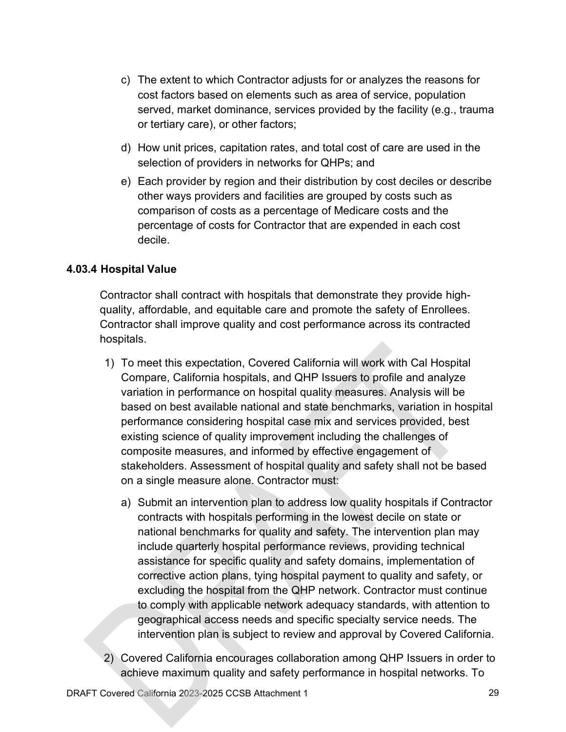- c) The extent to which Contractor adjusts for or analyzes the reasons for cost factors based on elements such as area of service, population served, market dominance, services provided by the facility (e.g., trauma or tertiary care), or other factors;
- d) How unit prices, capitation rates, and total cost of care are used in the selection of providers in networks for QHPs; and
- e) Each provider by region and their distribution by cost deciles or describe other ways providers and facilities are grouped by costs such as comparison of costs as a percentage of Medicare costs and the percentage of costs for Contractor that are expended in each cost decile.

## **4.03.4 Hospital Value**

Contractor shall contract with hospitals that demonstrate they provide highquality, affordable, and equitable care and promote the safety of Enrollees. Contractor shall improve quality and cost performance across its contracted hospitals.

- 1) To meet this expectation, Covered California will work with Cal Hospital Compare, California hospitals, and QHP Issuers to profile and analyze variation in performance on hospital quality measures. Analysis will be based on best available national and state benchmarks, variation in hospital performance considering hospital case mix and services provided, best existing science of quality improvement including the challenges of composite measures, and informed by effective engagement of stakeholders. Assessment of hospital quality and safety shall not be based on a single measure alone. Contractor must:
	- a) Submit an intervention plan to address low quality hospitals if Contractor contracts with hospitals performing in the lowest decile on state or national benchmarks for quality and safety. The intervention plan may include quarterly hospital performance reviews, providing technical assistance for specific quality and safety domains, implementation of corrective action plans, tying hospital payment to quality and safety, or excluding the hospital from the QHP network. Contractor must continue to comply with applicable network adequacy standards, with attention to geographical access needs and specific specialty service needs. The intervention plan is subject to review and approval by Covered California.
- 2) Covered California encourages collaboration among QHP Issuers in order to achieve maximum quality and safety performance in hospital networks. To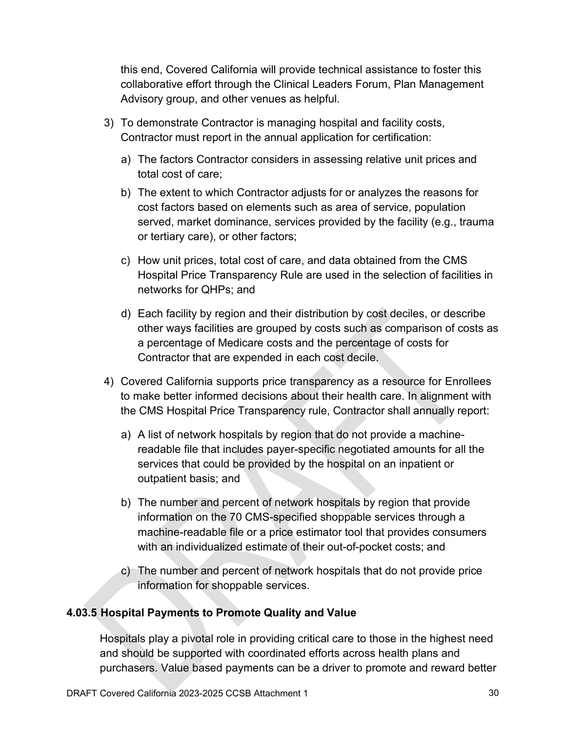this end, Covered California will provide technical assistance to foster this collaborative effort through the Clinical Leaders Forum, Plan Management Advisory group, and other venues as helpful.

- 3) To demonstrate Contractor is managing hospital and facility costs, Contractor must report in the annual application for certification:
	- a) The factors Contractor considers in assessing relative unit prices and total cost of care;
	- b) The extent to which Contractor adjusts for or analyzes the reasons for cost factors based on elements such as area of service, population served, market dominance, services provided by the facility (e.g., trauma or tertiary care), or other factors;
	- c) How unit prices, total cost of care, and data obtained from the CMS Hospital Price Transparency Rule are used in the selection of facilities in networks for QHPs; and
	- d) Each facility by region and their distribution by cost deciles, or describe other ways facilities are grouped by costs such as comparison of costs as a percentage of Medicare costs and the percentage of costs for Contractor that are expended in each cost decile.
- 4) Covered California supports price transparency as a resource for Enrollees to make better informed decisions about their health care. In alignment with the CMS Hospital Price Transparency rule, Contractor shall annually report:
	- a) A list of network hospitals by region that do not provide a machinereadable file that includes payer-specific negotiated amounts for all the services that could be provided by the hospital on an inpatient or outpatient basis; and
	- b) The number and percent of network hospitals by region that provide information on the 70 CMS-specified shoppable services through a machine-readable file or a price estimator tool that provides consumers with an individualized estimate of their out-of-pocket costs; and
	- c) The number and percent of network hospitals that do not provide price information for shoppable services.

## **4.03.5 Hospital Payments to Promote Quality and Value**

Hospitals play a pivotal role in providing critical care to those in the highest need and should be supported with coordinated efforts across health plans and purchasers. Value based payments can be a driver to promote and reward better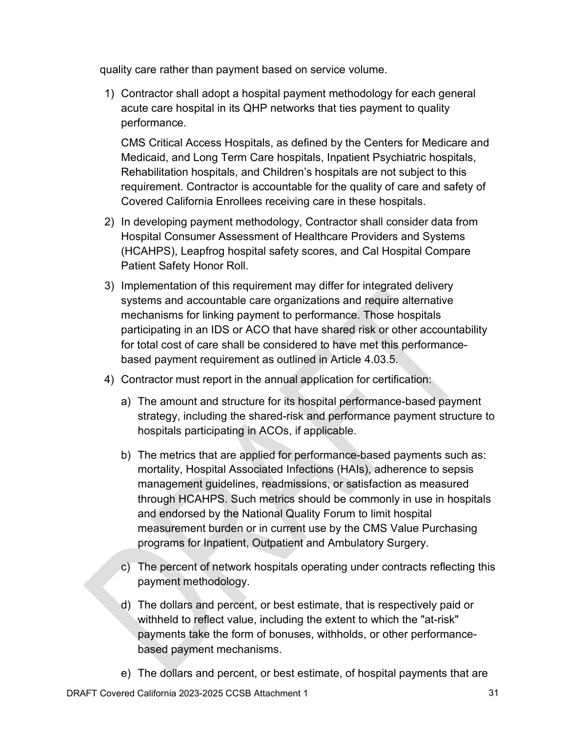quality care rather than payment based on service volume.

1) Contractor shall adopt a hospital payment methodology for each general acute care hospital in its QHP networks that ties payment to quality performance.

CMS Critical Access Hospitals, as defined by the Centers for Medicare and Medicaid, and Long Term Care hospitals, Inpatient Psychiatric hospitals, Rehabilitation hospitals, and Children's hospitals are not subject to this requirement. Contractor is accountable for the quality of care and safety of Covered California Enrollees receiving care in these hospitals.

- 2) In developing payment methodology, Contractor shall consider data from Hospital Consumer Assessment of Healthcare Providers and Systems (HCAHPS), Leapfrog hospital safety scores, and Cal Hospital Compare Patient Safety Honor Roll.
- 3) Implementation of this requirement may differ for integrated delivery systems and accountable care organizations and require alternative mechanisms for linking payment to performance. Those hospitals participating in an IDS or ACO that have shared risk or other accountability for total cost of care shall be considered to have met this performancebased payment requirement as outlined in Article 4.03.5.
- 4) Contractor must report in the annual application for certification:
	- a) The amount and structure for its hospital performance-based payment strategy, including the shared-risk and performance payment structure to hospitals participating in ACOs, if applicable.
	- b) The metrics that are applied for performance-based payments such as: mortality, Hospital Associated Infections (HAIs), adherence to sepsis management guidelines, readmissions, or satisfaction as measured through HCAHPS. Such metrics should be commonly in use in hospitals and endorsed by the National Quality Forum to limit hospital measurement burden or in current use by the CMS Value Purchasing programs for Inpatient, Outpatient and Ambulatory Surgery.
	- c) The percent of network hospitals operating under contracts reflecting this payment methodology.
	- d) The dollars and percent, or best estimate, that is respectively paid or withheld to reflect value, including the extent to which the "at-risk" payments take the form of bonuses, withholds, or other performancebased payment mechanisms.
	- e) The dollars and percent, or best estimate, of hospital payments that are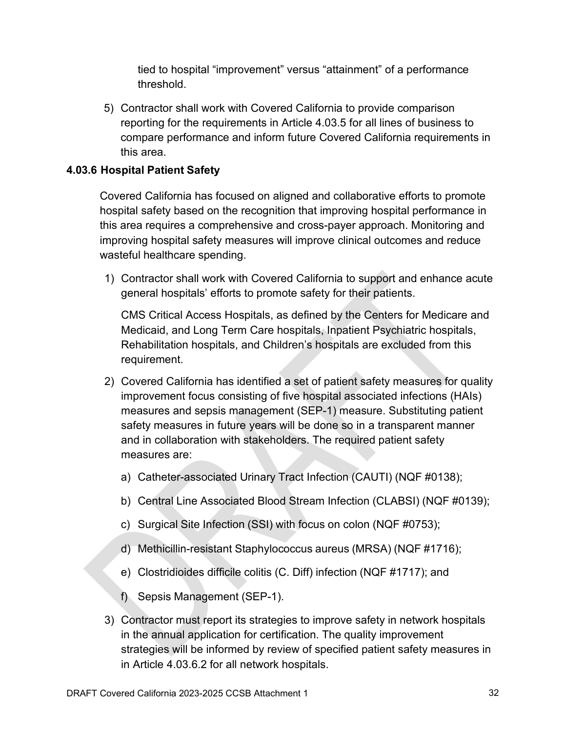tied to hospital "improvement" versus "attainment" of a performance threshold.

5) Contractor shall work with Covered California to provide comparison reporting for the requirements in Article 4.03.5 for all lines of business to compare performance and inform future Covered California requirements in this area.

#### **4.03.6 Hospital Patient Safety**

Covered California has focused on aligned and collaborative efforts to promote hospital safety based on the recognition that improving hospital performance in this area requires a comprehensive and cross-payer approach. Monitoring and improving hospital safety measures will improve clinical outcomes and reduce wasteful healthcare spending.

1) Contractor shall work with Covered California to support and enhance acute general hospitals' efforts to promote safety for their patients.

CMS Critical Access Hospitals, as defined by the Centers for Medicare and Medicaid, and Long Term Care hospitals, Inpatient Psychiatric hospitals, Rehabilitation hospitals, and Children's hospitals are excluded from this requirement.

- 2) Covered California has identified a set of patient safety measures for quality improvement focus consisting of five hospital associated infections (HAIs) measures and sepsis management (SEP-1) measure. Substituting patient safety measures in future years will be done so in a transparent manner and in collaboration with stakeholders. The required patient safety measures are:
	- a) Catheter-associated Urinary Tract Infection (CAUTI) (NQF #0138);
	- b) Central Line Associated Blood Stream Infection (CLABSI) (NQF #0139);
	- c) Surgical Site Infection (SSI) with focus on colon (NQF #0753);
	- d) Methicillin-resistant Staphylococcus aureus (MRSA) (NQF #1716);
	- e) Clostridioides difficile colitis (C. Diff) infection (NQF #1717); and
	- f) Sepsis Management (SEP-1).
- 3) Contractor must report its strategies to improve safety in network hospitals in the annual application for certification. The quality improvement strategies will be informed by review of specified patient safety measures in in Article 4.03.6.2 for all network hospitals.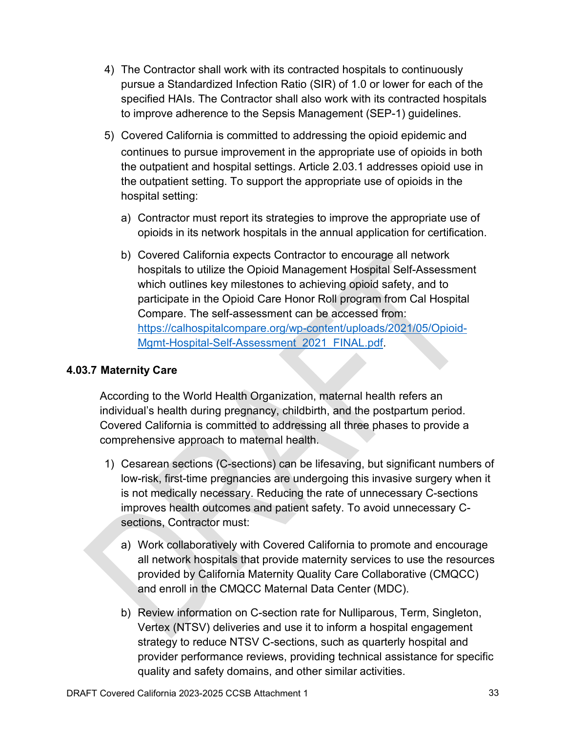- 4) The Contractor shall work with its contracted hospitals to continuously pursue a Standardized Infection Ratio (SIR) of 1.0 or lower for each of the specified HAIs. The Contractor shall also work with its contracted hospitals to improve adherence to the Sepsis Management (SEP-1) guidelines.
- 5) Covered California is committed to addressing the opioid epidemic and continues to pursue improvement in the appropriate use of opioids in both the outpatient and hospital settings. Article 2.03.1 addresses opioid use in the outpatient setting. To support the appropriate use of opioids in the hospital setting:
	- a) Contractor must report its strategies to improve the appropriate use of opioids in its network hospitals in the annual application for certification.
	- b) Covered California expects Contractor to encourage all network hospitals to utilize the Opioid Management Hospital Self-Assessment which outlines key milestones to achieving opioid safety, and to participate in the Opioid Care Honor Roll program from Cal Hospital Compare. The self-assessment can be accessed from: [https://calhospitalcompare.org/wp-content/uploads/2021/05/Opioid-](https://calhospitalcompare.org/wp-content/uploads/2021/05/Opioid-Mgmt-Hospital-Self-Assessment_2021_FINAL.pdf)[Mgmt-Hospital-Self-Assessment\\_2021\\_FINAL.pdf.](https://calhospitalcompare.org/wp-content/uploads/2021/05/Opioid-Mgmt-Hospital-Self-Assessment_2021_FINAL.pdf)

## **4.03.7 Maternity Care**

According to the World Health Organization, maternal health refers an individual's health during pregnancy, childbirth, and the postpartum period. Covered California is committed to addressing all three phases to provide a comprehensive approach to maternal health.

- 1) Cesarean sections (C-sections) can be lifesaving, but significant numbers of low-risk, first-time pregnancies are undergoing this invasive surgery when it is not medically necessary. Reducing the rate of unnecessary C-sections improves health outcomes and patient safety. To avoid unnecessary Csections, Contractor must:
	- a) Work collaboratively with Covered California to promote and encourage all network hospitals that provide maternity services to use the resources provided by California Maternity Quality Care Collaborative (CMQCC) and enroll in the CMQCC Maternal Data Center (MDC).
	- b) Review information on C-section rate for Nulliparous, Term, Singleton, Vertex (NTSV) deliveries and use it to inform a hospital engagement strategy to reduce NTSV C-sections, such as quarterly hospital and provider performance reviews, providing technical assistance for specific quality and safety domains, and other similar activities.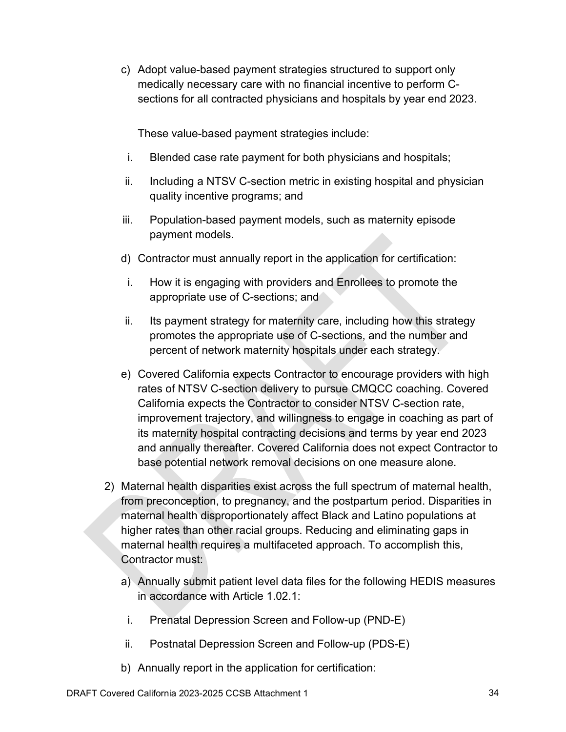c) Adopt value-based payment strategies structured to support only medically necessary care with no financial incentive to perform Csections for all contracted physicians and hospitals by year end 2023.

These value-based payment strategies include:

- i. Blended case rate payment for both physicians and hospitals;
- ii. Including a NTSV C-section metric in existing hospital and physician quality incentive programs; and
- iii. Population-based payment models, such as maternity episode payment models.
- d) Contractor must annually report in the application for certification:
- i. How it is engaging with providers and Enrollees to promote the appropriate use of C-sections; and
- ii. Its payment strategy for maternity care, including how this strategy promotes the appropriate use of C-sections, and the number and percent of network maternity hospitals under each strategy.
- e) Covered California expects Contractor to encourage providers with high rates of NTSV C-section delivery to pursue CMQCC coaching. Covered California expects the Contractor to consider NTSV C-section rate, improvement trajectory, and willingness to engage in coaching as part of its maternity hospital contracting decisions and terms by year end 2023 and annually thereafter. Covered California does not expect Contractor to base potential network removal decisions on one measure alone.
- 2) Maternal health disparities exist across the full spectrum of maternal health, from preconception, to pregnancy, and the postpartum period. Disparities in maternal health disproportionately affect Black and Latino populations at higher rates than other racial groups. Reducing and eliminating gaps in maternal health requires a multifaceted approach. To accomplish this, Contractor must:
	- a) Annually submit patient level data files for the following HEDIS measures in accordance with Article 1.02.1:
		- i. Prenatal Depression Screen and Follow-up (PND-E)
	- ii. Postnatal Depression Screen and Follow-up (PDS-E)
	- b) Annually report in the application for certification: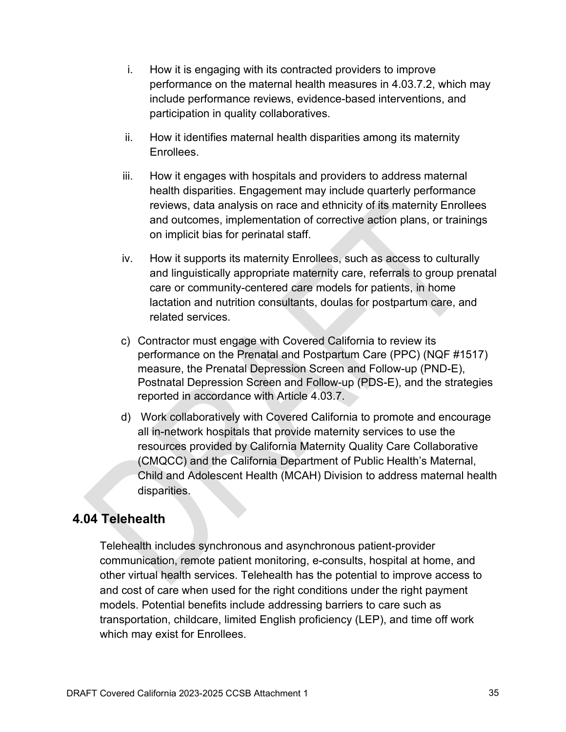- i. How it is engaging with its contracted providers to improve performance on the maternal health measures in 4.03.7.2, which may include performance reviews, evidence-based interventions, and participation in quality collaboratives.
- ii. How it identifies maternal health disparities among its maternity Enrollees.
- iii. How it engages with hospitals and providers to address maternal health disparities. Engagement may include quarterly performance reviews, data analysis on race and ethnicity of its maternity Enrollees and outcomes, implementation of corrective action plans, or trainings on implicit bias for perinatal staff.
- iv. How it supports its maternity Enrollees, such as access to culturally and linguistically appropriate maternity care, referrals to group prenatal care or community-centered care models for patients, in home lactation and nutrition consultants, doulas for postpartum care, and related services.
- c) Contractor must engage with Covered California to review its performance on the Prenatal and Postpartum Care (PPC) (NQF #1517) measure, the Prenatal Depression Screen and Follow-up (PND-E), Postnatal Depression Screen and Follow-up (PDS-E), and the strategies reported in accordance with Article 4.03.7.
- d) Work collaboratively with Covered California to promote and encourage all in-network hospitals that provide maternity services to use the resources provided by California Maternity Quality Care Collaborative (CMQCC) and the California Department of Public Health's Maternal, Child and Adolescent Health (MCAH) Division to address maternal health disparities.

# **4.04 Telehealth**

Telehealth includes synchronous and asynchronous patient-provider communication, remote patient monitoring, e-consults, hospital at home, and other virtual health services. Telehealth has the potential to improve access to and cost of care when used for the right conditions under the right payment models. Potential benefits include addressing barriers to care such as transportation, childcare, limited English proficiency (LEP), and time off work which may exist for Enrollees.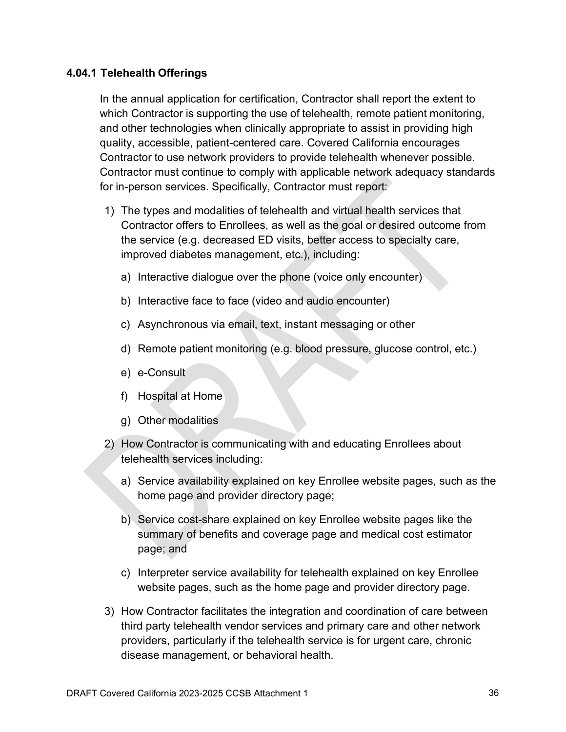#### **4.04.1 Telehealth Offerings**

In the annual application for certification, Contractor shall report the extent to which Contractor is supporting the use of telehealth, remote patient monitoring, and other technologies when clinically appropriate to assist in providing high quality, accessible, patient-centered care. Covered California encourages Contractor to use network providers to provide telehealth whenever possible. Contractor must continue to comply with applicable network adequacy standards for in-person services. Specifically, Contractor must report:

- 1) The types and modalities of telehealth and virtual health services that Contractor offers to Enrollees, as well as the goal or desired outcome from the service (e.g. decreased ED visits, better access to specialty care, improved diabetes management, etc.), including:
	- a) Interactive dialogue over the phone (voice only encounter)
	- b) Interactive face to face (video and audio encounter)
	- c) Asynchronous via email, text, instant messaging or other
	- d) Remote patient monitoring (e.g. blood pressure, glucose control, etc.)
	- e) e-Consult
	- f) Hospital at Home
	- g) Other modalities
- 2) How Contractor is communicating with and educating Enrollees about telehealth services including:
	- a) Service availability explained on key Enrollee website pages, such as the home page and provider directory page;
	- b) Service cost-share explained on key Enrollee website pages like the summary of benefits and coverage page and medical cost estimator page; and
	- c) Interpreter service availability for telehealth explained on key Enrollee website pages, such as the home page and provider directory page.
- 3) How Contractor facilitates the integration and coordination of care between third party telehealth vendor services and primary care and other network providers, particularly if the telehealth service is for urgent care, chronic disease management, or behavioral health.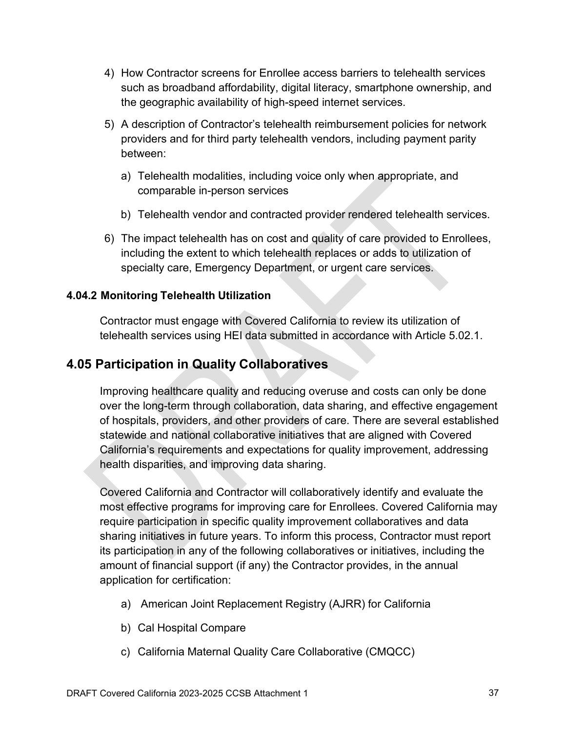- 4) How Contractor screens for Enrollee access barriers to telehealth services such as broadband affordability, digital literacy, smartphone ownership, and the geographic availability of high-speed internet services.
- 5) A description of Contractor's telehealth reimbursement policies for network providers and for third party telehealth vendors, including payment parity between:
	- a) Telehealth modalities, including voice only when appropriate, and comparable in-person services
	- b) Telehealth vendor and contracted provider rendered telehealth services.
- 6) The impact telehealth has on cost and quality of care provided to Enrollees, including the extent to which telehealth replaces or adds to utilization of specialty care, Emergency Department, or urgent care services.

## **4.04.2 Monitoring Telehealth Utilization**

Contractor must engage with Covered California to review its utilization of telehealth services using HEI data submitted in accordance with Article 5.02.1.

# **4.05 Participation in Quality Collaboratives**

Improving healthcare quality and reducing overuse and costs can only be done over the long-term through collaboration, data sharing, and effective engagement of hospitals, providers, and other providers of care. There are several established statewide and national collaborative initiatives that are aligned with Covered California's requirements and expectations for quality improvement, addressing health disparities, and improving data sharing.

Covered California and Contractor will collaboratively identify and evaluate the most effective programs for improving care for Enrollees. Covered California may require participation in specific quality improvement collaboratives and data sharing initiatives in future years. To inform this process, Contractor must report its participation in any of the following collaboratives or initiatives, including the amount of financial support (if any) the Contractor provides, in the annual application for certification:

- a) American Joint Replacement Registry (AJRR) for California
- b) Cal Hospital Compare
- c) California Maternal Quality Care Collaborative (CMQCC)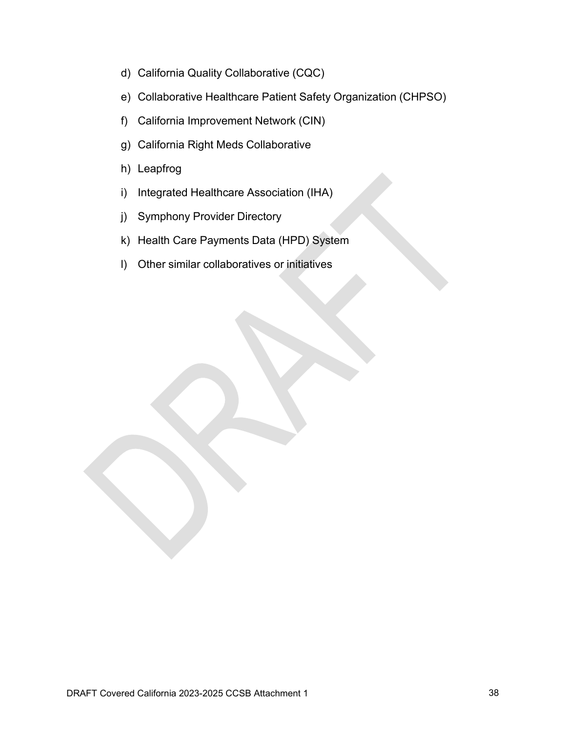- d) California Quality Collaborative (CQC)
- e) Collaborative Healthcare Patient Safety Organization (CHPSO)
- f) California Improvement Network (CIN)
- g) California Right Meds Collaborative
- h) Leapfrog
- i) Integrated Healthcare Association (IHA)
- j) Symphony Provider Directory
- k) Health Care Payments Data (HPD) System
- l) Other similar collaboratives or initiatives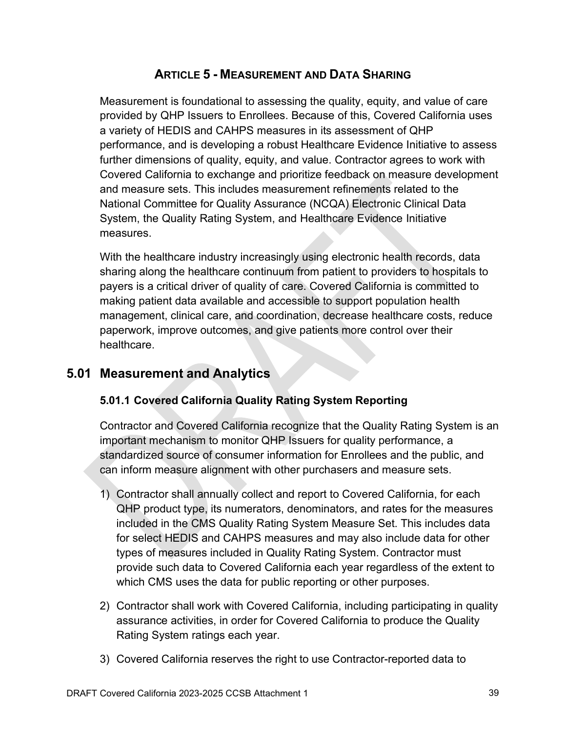## **ARTICLE 5 - MEASUREMENT AND DATA SHARING**

Measurement is foundational to assessing the quality, equity, and value of care provided by QHP Issuers to Enrollees. Because of this, Covered California uses a variety of HEDIS and CAHPS measures in its assessment of QHP performance, and is developing a robust Healthcare Evidence Initiative to assess further dimensions of quality, equity, and value. Contractor agrees to work with Covered California to exchange and prioritize feedback on measure development and measure sets. This includes measurement refinements related to the National Committee for Quality Assurance (NCQA) Electronic Clinical Data System, the Quality Rating System, and Healthcare Evidence Initiative measures.

With the healthcare industry increasingly using electronic health records, data sharing along the healthcare continuum from patient to providers to hospitals to payers is a critical driver of quality of care. Covered California is committed to making patient data available and accessible to support population health management, clinical care, and coordination, decrease healthcare costs, reduce paperwork, improve outcomes, and give patients more control over their healthcare.

# **5.01 Measurement and Analytics**

## **5.01.1 Covered California Quality Rating System Reporting**

Contractor and Covered California recognize that the Quality Rating System is an important mechanism to monitor QHP Issuers for quality performance, a standardized source of consumer information for Enrollees and the public, and can inform measure alignment with other purchasers and measure sets.

- 1) Contractor shall annually collect and report to Covered California, for each QHP product type, its numerators, denominators, and rates for the measures included in the CMS Quality Rating System Measure Set. This includes data for select HEDIS and CAHPS measures and may also include data for other types of measures included in Quality Rating System. Contractor must provide such data to Covered California each year regardless of the extent to which CMS uses the data for public reporting or other purposes.
- 2) Contractor shall work with Covered California, including participating in quality assurance activities, in order for Covered California to produce the Quality Rating System ratings each year.
- 3) Covered California reserves the right to use Contractor-reported data to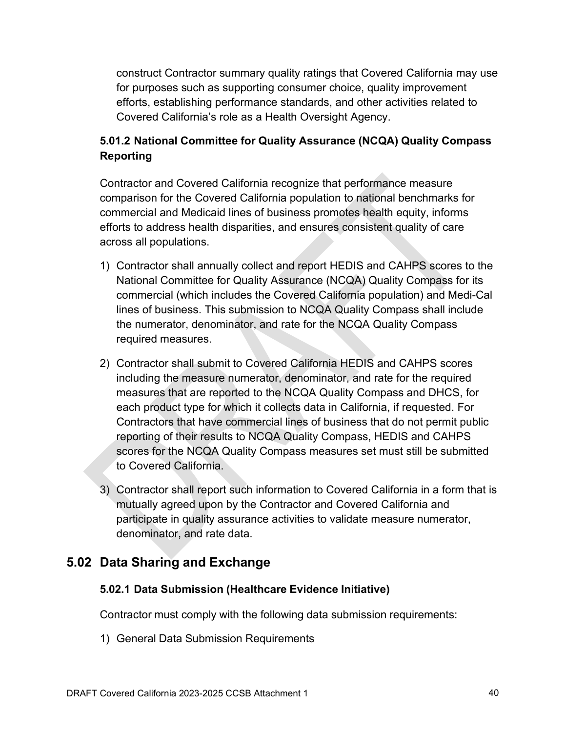construct Contractor summary quality ratings that Covered California may use for purposes such as supporting consumer choice, quality improvement efforts, establishing performance standards, and other activities related to Covered California's role as a Health Oversight Agency.

## **5.01.2 National Committee for Quality Assurance (NCQA) Quality Compass Reporting**

Contractor and Covered California recognize that performance measure comparison for the Covered California population to national benchmarks for commercial and Medicaid lines of business promotes health equity, informs efforts to address health disparities, and ensures consistent quality of care across all populations.

- 1) Contractor shall annually collect and report HEDIS and CAHPS scores to the National Committee for Quality Assurance (NCQA) Quality Compass for its commercial (which includes the Covered California population) and Medi-Cal lines of business. This submission to NCQA Quality Compass shall include the numerator, denominator, and rate for the NCQA Quality Compass required measures.
- 2) Contractor shall submit to Covered California HEDIS and CAHPS scores including the measure numerator, denominator, and rate for the required measures that are reported to the NCQA Quality Compass and DHCS, for each product type for which it collects data in California, if requested. For Contractors that have commercial lines of business that do not permit public reporting of their results to NCQA Quality Compass, HEDIS and CAHPS scores for the NCQA Quality Compass measures set must still be submitted to Covered California.
- 3) Contractor shall report such information to Covered California in a form that is mutually agreed upon by the Contractor and Covered California and participate in quality assurance activities to validate measure numerator, denominator, and rate data.

# **5.02 Data Sharing and Exchange**

## **5.02.1 Data Submission (Healthcare Evidence Initiative)**

Contractor must comply with the following data submission requirements:

1) General Data Submission Requirements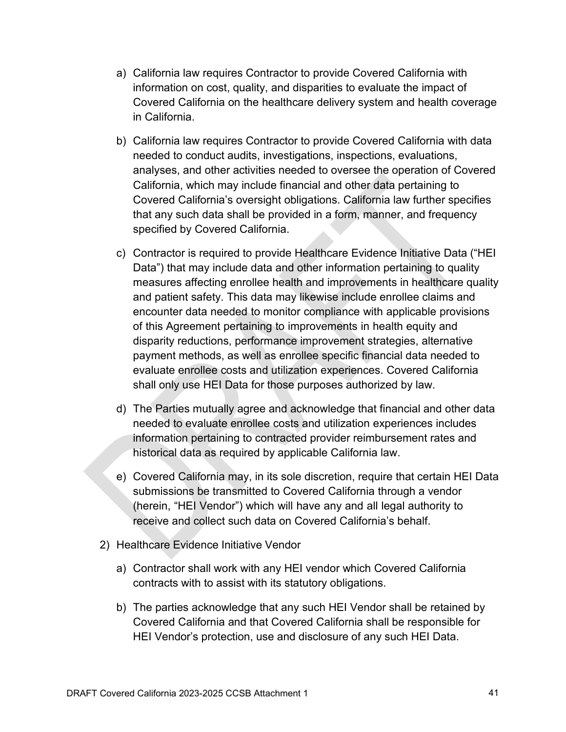- a) California law requires Contractor to provide Covered California with information on cost, quality, and disparities to evaluate the impact of Covered California on the healthcare delivery system and health coverage in California.
- b) California law requires Contractor to provide Covered California with data needed to conduct audits, investigations, inspections, evaluations, analyses, and other activities needed to oversee the operation of Covered California, which may include financial and other data pertaining to Covered California's oversight obligations. California law further specifies that any such data shall be provided in a form, manner, and frequency specified by Covered California.
- c) Contractor is required to provide Healthcare Evidence Initiative Data ("HEI Data") that may include data and other information pertaining to quality measures affecting enrollee health and improvements in healthcare quality and patient safety. This data may likewise include enrollee claims and encounter data needed to monitor compliance with applicable provisions of this Agreement pertaining to improvements in health equity and disparity reductions, performance improvement strategies, alternative payment methods, as well as enrollee specific financial data needed to evaluate enrollee costs and utilization experiences. Covered California shall only use HEI Data for those purposes authorized by law.
- d) The Parties mutually agree and acknowledge that financial and other data needed to evaluate enrollee costs and utilization experiences includes information pertaining to contracted provider reimbursement rates and historical data as required by applicable California law.
- e) Covered California may, in its sole discretion, require that certain HEI Data submissions be transmitted to Covered California through a vendor (herein, "HEI Vendor") which will have any and all legal authority to receive and collect such data on Covered California's behalf.
- 2) Healthcare Evidence Initiative Vendor
	- a) Contractor shall work with any HEI vendor which Covered California contracts with to assist with its statutory obligations.
	- b) The parties acknowledge that any such HEI Vendor shall be retained by Covered California and that Covered California shall be responsible for HEI Vendor's protection, use and disclosure of any such HEI Data.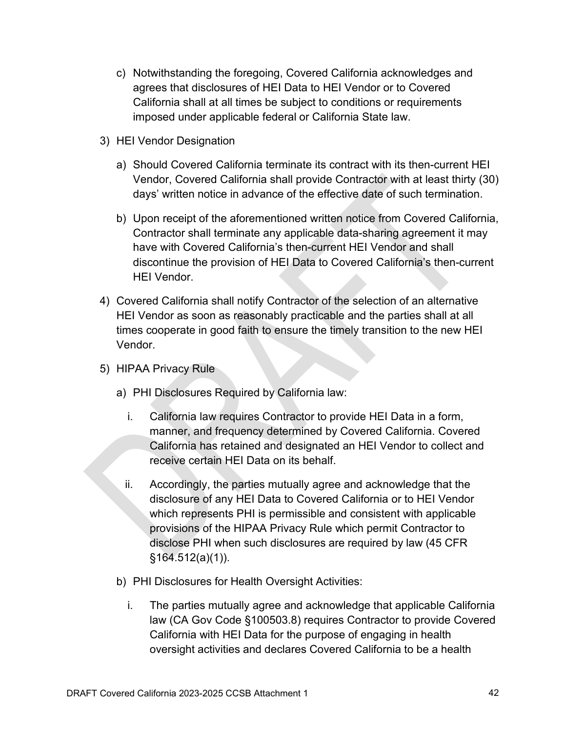- c) Notwithstanding the foregoing, Covered California acknowledges and agrees that disclosures of HEI Data to HEI Vendor or to Covered California shall at all times be subject to conditions or requirements imposed under applicable federal or California State law.
- 3) HEI Vendor Designation
	- a) Should Covered California terminate its contract with its then-current HEI Vendor, Covered California shall provide Contractor with at least thirty (30) days' written notice in advance of the effective date of such termination.
	- b) Upon receipt of the aforementioned written notice from Covered California, Contractor shall terminate any applicable data-sharing agreement it may have with Covered California's then-current HEI Vendor and shall discontinue the provision of HEI Data to Covered California's then-current HEI Vendor.
- 4) Covered California shall notify Contractor of the selection of an alternative HEI Vendor as soon as reasonably practicable and the parties shall at all times cooperate in good faith to ensure the timely transition to the new HEI Vendor.
- 5) HIPAA Privacy Rule
	- a) PHI Disclosures Required by California law:
		- i. California law requires Contractor to provide HEI Data in a form, manner, and frequency determined by Covered California. Covered California has retained and designated an HEI Vendor to collect and receive certain HEI Data on its behalf.
		- ii. Accordingly, the parties mutually agree and acknowledge that the disclosure of any HEI Data to Covered California or to HEI Vendor which represents PHI is permissible and consistent with applicable provisions of the HIPAA Privacy Rule which permit Contractor to disclose PHI when such disclosures are required by law (45 CFR §164.512(a)(1)).
	- b) PHI Disclosures for Health Oversight Activities:
		- i. The parties mutually agree and acknowledge that applicable California law (CA Gov Code §100503.8) requires Contractor to provide Covered California with HEI Data for the purpose of engaging in health oversight activities and declares Covered California to be a health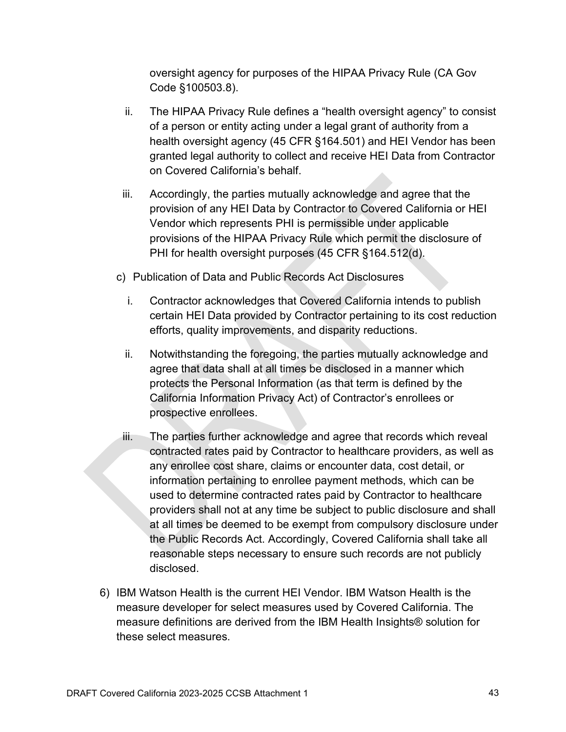oversight agency for purposes of the HIPAA Privacy Rule (CA Gov Code §100503.8).

- ii. The HIPAA Privacy Rule defines a "health oversight agency" to consist of a person or entity acting under a legal grant of authority from a health oversight agency (45 CFR §164.501) and HEI Vendor has been granted legal authority to collect and receive HEI Data from Contractor on Covered California's behalf.
- iii. Accordingly, the parties mutually acknowledge and agree that the provision of any HEI Data by Contractor to Covered California or HEI Vendor which represents PHI is permissible under applicable provisions of the HIPAA Privacy Rule which permit the disclosure of PHI for health oversight purposes (45 CFR §164.512(d).
- c) Publication of Data and Public Records Act Disclosures
	- i. Contractor acknowledges that Covered California intends to publish certain HEI Data provided by Contractor pertaining to its cost reduction efforts, quality improvements, and disparity reductions.
	- ii. Notwithstanding the foregoing, the parties mutually acknowledge and agree that data shall at all times be disclosed in a manner which protects the Personal Information (as that term is defined by the California Information Privacy Act) of Contractor's enrollees or prospective enrollees.
- iii. The parties further acknowledge and agree that records which reveal contracted rates paid by Contractor to healthcare providers, as well as any enrollee cost share, claims or encounter data, cost detail, or information pertaining to enrollee payment methods, which can be used to determine contracted rates paid by Contractor to healthcare providers shall not at any time be subject to public disclosure and shall at all times be deemed to be exempt from compulsory disclosure under the Public Records Act. Accordingly, Covered California shall take all reasonable steps necessary to ensure such records are not publicly disclosed.
- 6) IBM Watson Health is the current HEI Vendor. IBM Watson Health is the measure developer for select measures used by Covered California. The measure definitions are derived from the IBM Health Insights® solution for these select measures.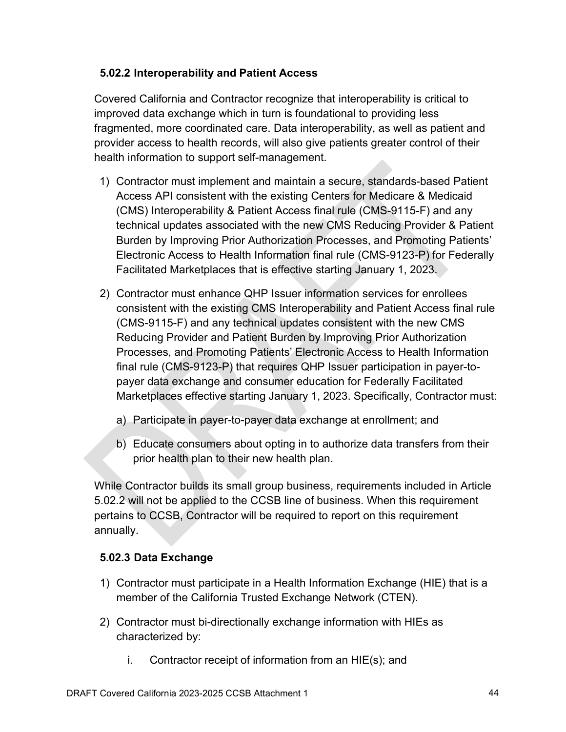## **5.02.2 Interoperability and Patient Access**

Covered California and Contractor recognize that interoperability is critical to improved data exchange which in turn is foundational to providing less fragmented, more coordinated care. Data interoperability, as well as patient and provider access to health records, will also give patients greater control of their health information to support self-management.

- 1) Contractor must implement and maintain a secure, standards-based Patient Access API consistent with the existing Centers for Medicare & Medicaid (CMS) Interoperability & Patient Access final rule (CMS-9115-F) and any technical updates associated with the new CMS Reducing Provider & Patient Burden by Improving Prior Authorization Processes, and Promoting Patients' Electronic Access to Health Information final rule (CMS-9123-P) for Federally Facilitated Marketplaces that is effective starting January 1, 2023.
- 2) Contractor must enhance QHP Issuer information services for enrollees consistent with the existing [CMS Interoperability and Patient](https://www.cms.gov/Regulations-and-Guidance/Guidance/Interoperability/index) Access final rule (CMS-9115-F) and any technical updates consistent with the new CMS Reducing Provider and Patient Burden by Improving Prior Authorization Processes, and Promoting Patients' Electronic Access to Health Information final rule (CMS-9123-P) that requires QHP Issuer participation in payer-topayer data exchange and consumer education for Federally Facilitated Marketplaces effective starting January 1, 2023. Specifically, Contractor must:
	- a) Participate in payer-to-payer data exchange at enrollment; and
	- b) Educate consumers about opting in to authorize data transfers from their prior health plan to their new health plan.

While Contractor builds its small group business, requirements included in Article 5.02.2 will not be applied to the CCSB line of business. When this requirement pertains to CCSB, Contractor will be required to report on this requirement annually.

## **5.02.3 Data Exchange**

- 1) Contractor must participate in a Health Information Exchange (HIE) that is a member of the California Trusted Exchange Network (CTEN).
- 2) Contractor must bi-directionally exchange information with HIEs as characterized by:
	- i. Contractor receipt of information from an HIE(s); and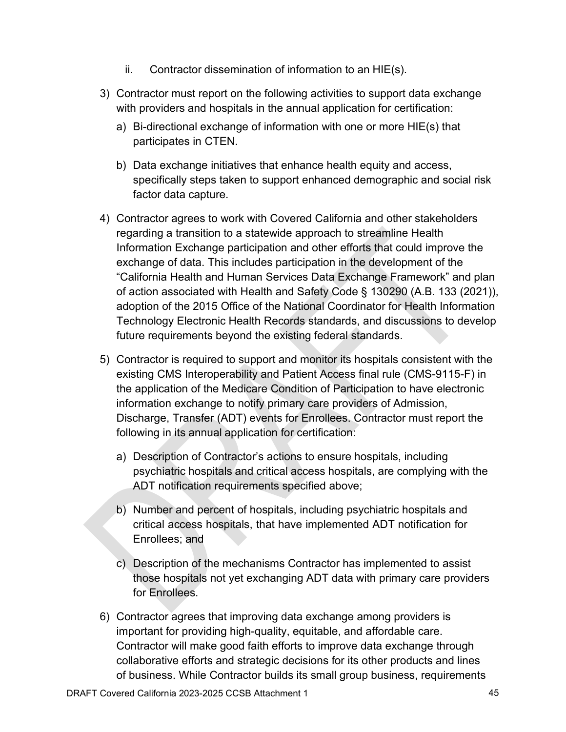- ii. Contractor dissemination of information to an HIE(s).
- 3) Contractor must report on the following activities to support data exchange with providers and hospitals in the annual application for certification:
	- a) Bi-directional exchange of information with one or more HIE(s) that participates in CTEN.
	- b) Data exchange initiatives that enhance health equity and access, specifically steps taken to support enhanced demographic and social risk factor data capture.
- 4) Contractor agrees to work with Covered California and other stakeholders regarding a transition to a statewide approach to streamline Health Information Exchange participation and other efforts that could improve the exchange of data. This includes participation in the development of the "California Health and Human Services Data Exchange Framework" and plan of action associated with Health and Safety Code § 130290 (A.B. 133 (2021)), adoption of the 2015 Office of the National Coordinator for Health Information Technology Electronic Health Records standards, and discussions to develop future requirements beyond the existing federal standards.
- 5) Contractor is required to support and monitor its hospitals consistent with the existing [CMS Interoperability and Patient Access final rule \(](https://www.cms.gov/Regulations-and-Guidance/Guidance/Interoperability/index)CMS-9115-F) in the application of the Medicare Condition of Participation to have electronic information exchange to notify primary care providers of Admission, Discharge, Transfer (ADT) events for Enrollees. Contractor must report the following in its annual application for certification:
	- a) Description of Contractor's actions to ensure hospitals, including psychiatric hospitals and critical access hospitals, are complying with the ADT notification requirements specified above;
	- b) Number and percent of hospitals, including psychiatric hospitals and critical access hospitals, that have implemented ADT notification for Enrollees; and
	- c) Description of the mechanisms Contractor has implemented to assist those hospitals not yet exchanging ADT data with primary care providers for Enrollees.
- 6) Contractor agrees that improving data exchange among providers is important for providing high-quality, equitable, and affordable care. Contractor will make good faith efforts to improve data exchange through collaborative efforts and strategic decisions for its other products and lines of business. While Contractor builds its small group business, requirements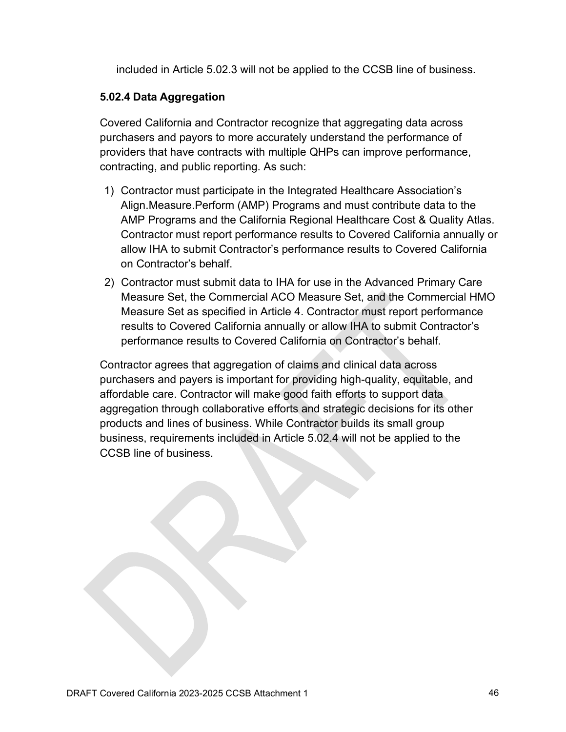included in Article 5.02.3 will not be applied to the CCSB line of business.

#### **5.02.4 Data Aggregation**

Covered California and Contractor recognize that aggregating data across purchasers and payors to more accurately understand the performance of providers that have contracts with multiple QHPs can improve performance, contracting, and public reporting. As such:

- 1) Contractor must participate in the Integrated Healthcare Association's Align.Measure.Perform (AMP) Programs and must contribute data to the AMP Programs and the California Regional Healthcare Cost & Quality Atlas. Contractor must report performance results to Covered California annually or allow IHA to submit Contractor's performance results to Covered California on Contractor's behalf.
- 2) Contractor must submit data to IHA for use in the Advanced Primary Care Measure Set, the Commercial ACO Measure Set, and the Commercial HMO Measure Set as specified in Article 4. Contractor must report performance results to Covered California annually or allow IHA to submit Contractor's performance results to Covered California on Contractor's behalf.

Contractor agrees that aggregation of claims and clinical data across purchasers and payers is important for providing high-quality, equitable, and affordable care. Contractor will make good faith efforts to support data aggregation through collaborative efforts and strategic decisions for its other products and lines of business. While Contractor builds its small group business, requirements included in Article 5.02.4 will not be applied to the CCSB line of business.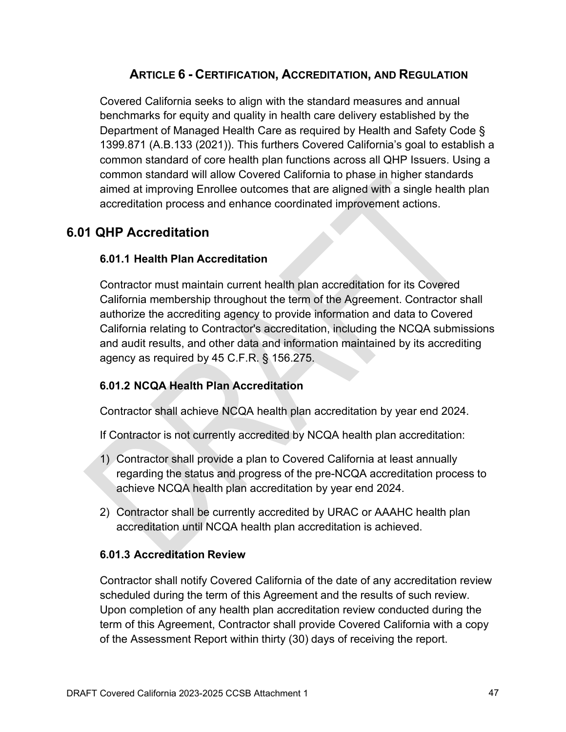## **ARTICLE 6 - CERTIFICATION, ACCREDITATION, AND REGULATION**

Covered California seeks to align with the standard measures and annual benchmarks for equity and quality in health care delivery established by the Department of Managed Health Care as required by Health and Safety Code § 1399.871 (A.B.133 (2021)). This furthers Covered California's goal to establish a common standard of core health plan functions across all QHP Issuers. Using a common standard will allow Covered California to phase in higher standards aimed at improving Enrollee outcomes that are aligned with a single health plan accreditation process and enhance coordinated improvement actions.

# **6.01 QHP Accreditation**

## **6.01.1 Health Plan Accreditation**

Contractor must maintain current health plan accreditation for its Covered California membership throughout the term of the Agreement. Contractor shall authorize the accrediting agency to provide information and data to Covered California relating to Contractor's accreditation, including the NCQA submissions and audit results, and other data and information maintained by its accrediting agency as required by 45 C.F.R. § 156.275.

## **6.01.2 NCQA Health Plan Accreditation**

Contractor shall achieve NCQA health plan accreditation by year end 2024.

If Contractor is not currently accredited by NCQA health plan accreditation:

- 1) Contractor shall provide a plan to Covered California at least annually regarding the status and progress of the pre-NCQA accreditation process to achieve NCQA health plan accreditation by year end 2024.
- 2) Contractor shall be currently accredited by URAC or AAAHC health plan accreditation until NCQA health plan accreditation is achieved.

## **6.01.3 Accreditation Review**

Contractor shall notify Covered California of the date of any accreditation review scheduled during the term of this Agreement and the results of such review. Upon completion of any health plan accreditation review conducted during the term of this Agreement, Contractor shall provide Covered California with a copy of the Assessment Report within thirty (30) days of receiving the report.